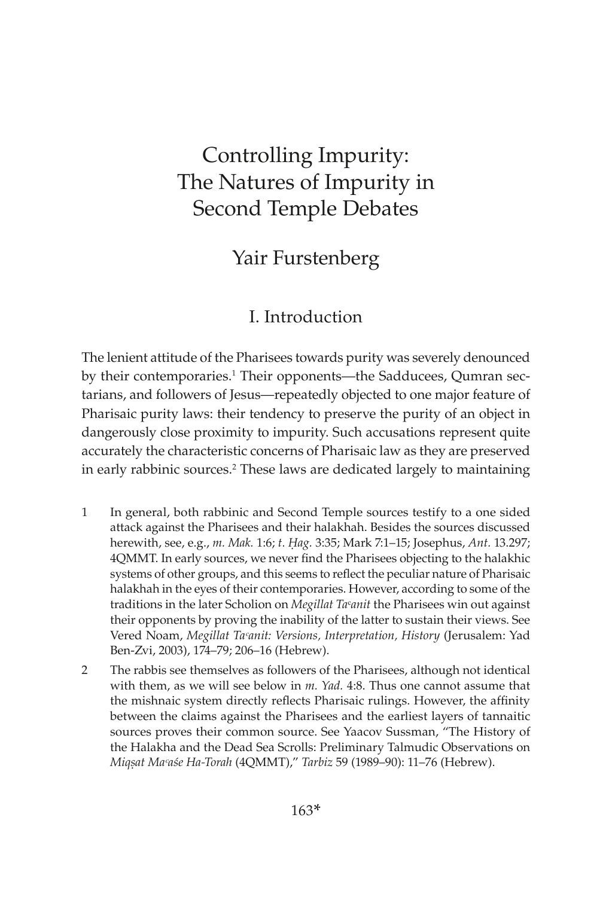# Controlling Impurity: The Natures of Impurity in Second Temple Debates

## Yair Furstenberg

### I. Introduction

The lenient attitude of the Pharisees towards purity was severely denounced by their contemporaries.<sup>1</sup> Their opponents—the Sadducees, Qumran sectarians, and followers of Jesus—repeatedly objected to one major feature of Pharisaic purity laws: their tendency to preserve the purity of an object in dangerously close proximity to impurity. Such accusations represent quite accurately the characteristic concerns of Pharisaic law as they are preserved in early rabbinic sources.2 These laws are dedicated largely to maintaining

- 1 In general, both rabbinic and Second Temple sources testify to a one sided attack against the Pharisees and their halakhah. Besides the sources discussed herewith, see, e.g., *m. Mak.* 1:6; *t. Ḥag.* 3:35; Mark 7:1–15; Josephus, *Ant.* 13.297; 4QMMT. In early sources, we never find the Pharisees objecting to the halakhic systems of other groups, and this seems to reflect the peculiar nature of Pharisaic halakhah in the eyes of their contemporaries. However, according to some of the traditions in the later Scholion on *Megillat Ta*ᶜ*anit* the Pharisees win out against their opponents by proving the inability of the latter to sustain their views. See Vered Noam, *Megillat Taᶜanit: Versions, Interpretation, History* (Jerusalem: Yad Ben-Zvi, 2003), 174–79; 206–16 (Hebrew).
- 2 The rabbis see themselves as followers of the Pharisees, although not identical with them, as we will see below in *m. Yad.* 4:8. Thus one cannot assume that the mishnaic system directly reflects Pharisaic rulings. However, the affinity between the claims against the Pharisees and the earliest layers of tannaitic sources proves their common source. See Yaacov Sussman, "The History of the Halakha and the Dead Sea Scrolls: Preliminary Talmudic Observations on *Miqṣat Maᶜaśe Ha-Torah* (4QMMT)," *Tarbiz* 59 (1989–90): 11–76 (Hebrew).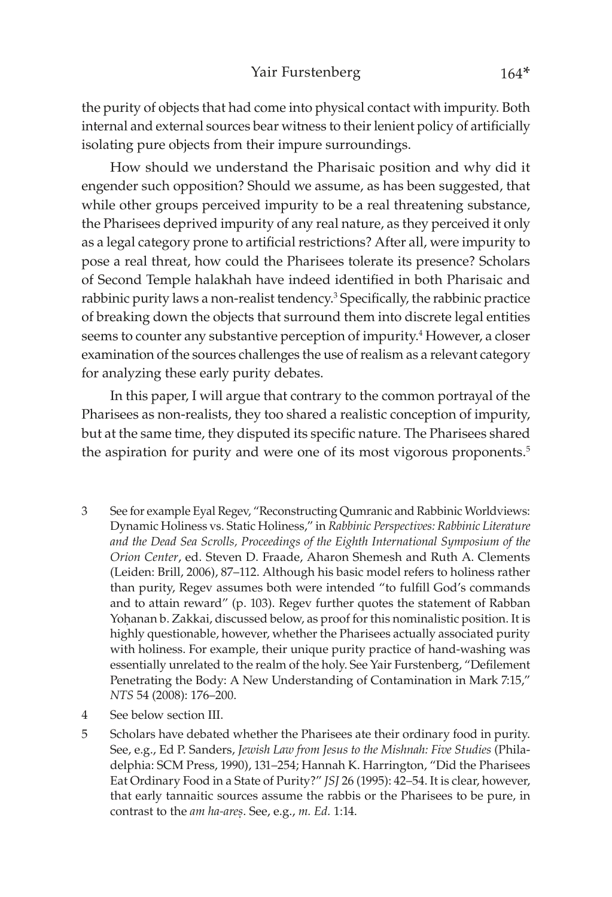the purity of objects that had come into physical contact with impurity. Both internal and external sources bear witness to their lenient policy of artificially isolating pure objects from their impure surroundings.

How should we understand the Pharisaic position and why did it engender such opposition? Should we assume, as has been suggested, that while other groups perceived impurity to be a real threatening substance, the Pharisees deprived impurity of any real nature, as they perceived it only as a legal category prone to artificial restrictions? After all, were impurity to pose a real threat, how could the Pharisees tolerate its presence? Scholars of Second Temple halakhah have indeed identified in both Pharisaic and rabbinic purity laws a non-realist tendency.<sup>3</sup> Specifically, the rabbinic practice of breaking down the objects that surround them into discrete legal entities seems to counter any substantive perception of impurity.<sup>4</sup> However, a closer examination of the sources challenges the use of realism as a relevant category for analyzing these early purity debates.

In this paper, I will argue that contrary to the common portrayal of the Pharisees as non-realists, they too shared a realistic conception of impurity, but at the same time, they disputed its specific nature. The Pharisees shared the aspiration for purity and were one of its most vigorous proponents.<sup>5</sup>

- 3 See for example Eyal Regev, "Reconstructing Qumranic and Rabbinic Worldviews: Dynamic Holiness vs. Static Holiness," in *Rabbinic Perspectives: Rabbinic Literature and the Dead Sea Scrolls, Proceedings of the Eighth International Symposium of the Orion Center*, ed. Steven D. Fraade, Aharon Shemesh and Ruth A. Clements (Leiden: Brill, 2006), 87–112. Although his basic model refers to holiness rather than purity, Regev assumes both were intended "to fulfill God's commands and to attain reward" (p. 103). Regev further quotes the statement of Rabban Yohanan b. Zakkai, discussed below, as proof for this nominalistic position. It is highly questionable, however, whether the Pharisees actually associated purity with holiness. For example, their unique purity practice of hand-washing was essentially unrelated to the realm of the holy. See Yair Furstenberg, "Defilement Penetrating the Body: A New Understanding of Contamination in Mark 7:15," *NTS* 54 (2008): 176–200.
- 4 See below section III.
- 5 Scholars have debated whether the Pharisees ate their ordinary food in purity. See, e.g., Ed P. Sanders, *Jewish Law from Jesus to the Mishnah: Five Studies* (Philadelphia: SCM Press, 1990), 131–254; Hannah K. Harrington, "Did the Pharisees Eat Ordinary Food in a State of Purity?" *JSJ* 26 (1995): 42–54. It is clear, however, that early tannaitic sources assume the rabbis or the Pharisees to be pure, in contrast to the *am ha-ares*. See, e.g., *m. Ed.* 1:14.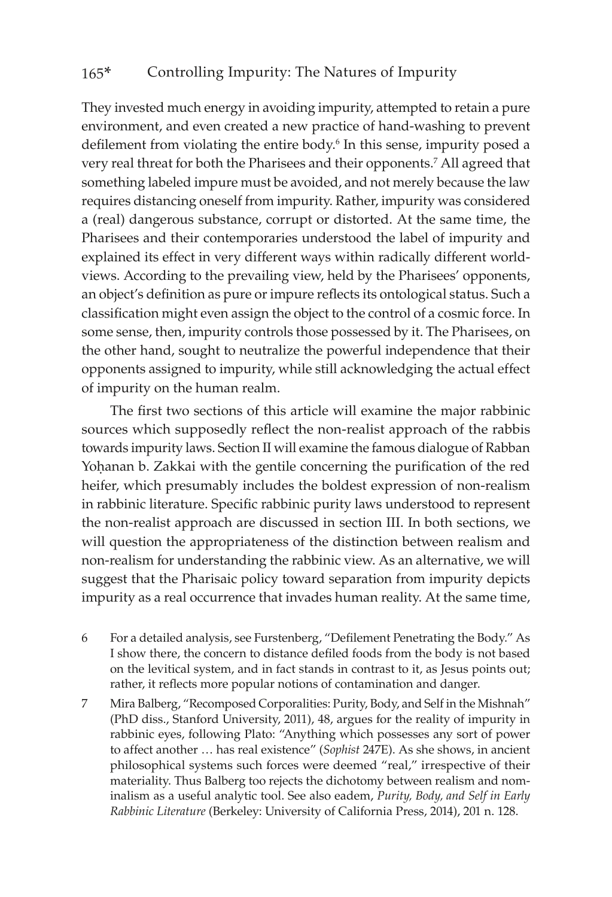They invested much energy in avoiding impurity, attempted to retain a pure environment, and even created a new practice of hand-washing to prevent defilement from violating the entire body.<sup>6</sup> In this sense, impurity posed a very real threat for both the Pharisees and their opponents.7 All agreed that something labeled impure must be avoided, and not merely because the law requires distancing oneself from impurity. Rather, impurity was considered a (real) dangerous substance, corrupt or distorted. At the same time, the Pharisees and their contemporaries understood the label of impurity and explained its effect in very different ways within radically different worldviews. According to the prevailing view, held by the Pharisees' opponents, an object's definition as pure or impure reflects its ontological status. Such a classification might even assign the object to the control of a cosmic force. In some sense, then, impurity controls those possessed by it. The Pharisees, on the other hand, sought to neutralize the powerful independence that their opponents assigned to impurity, while still acknowledging the actual effect of impurity on the human realm.

The first two sections of this article will examine the major rabbinic sources which supposedly reflect the non-realist approach of the rabbis towards impurity laws. Section II will examine the famous dialogue of Rabban Yohanan b. Zakkai with the gentile concerning the purification of the red heifer, which presumably includes the boldest expression of non-realism in rabbinic literature. Specific rabbinic purity laws understood to represent the non-realist approach are discussed in section III. In both sections, we will question the appropriateness of the distinction between realism and non-realism for understanding the rabbinic view. As an alternative, we will suggest that the Pharisaic policy toward separation from impurity depicts impurity as a real occurrence that invades human reality. At the same time,

- 6 For a detailed analysis, see Furstenberg, "Defilement Penetrating the Body." As I show there, the concern to distance defiled foods from the body is not based on the levitical system, and in fact stands in contrast to it, as Jesus points out; rather, it reflects more popular notions of contamination and danger.
- 7 Mira Balberg, "Recomposed Corporalities: Purity, Body, and Self in the Mishnah" (PhD diss., Stanford University, 2011), 48, argues for the reality of impurity in rabbinic eyes, following Plato: "Anything which possesses any sort of power to affect another … has real existence" (*Sophist* 247E). As she shows, in ancient philosophical systems such forces were deemed "real," irrespective of their materiality. Thus Balberg too rejects the dichotomy between realism and nominalism as a useful analytic tool. See also eadem, *Purity, Body, and Self in Early Rabbinic Literature* (Berkeley: University of California Press, 2014), 201 n. 128.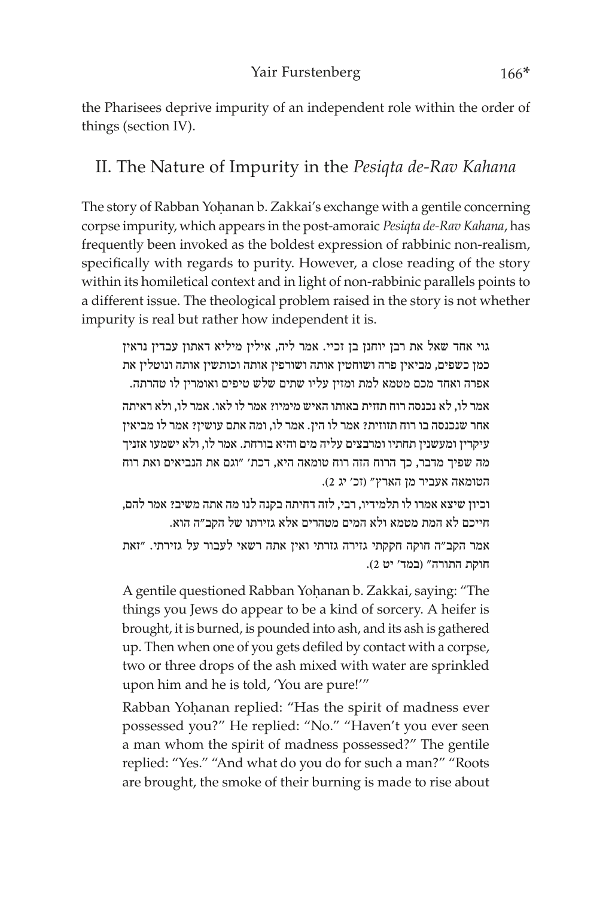the Pharisees deprive impurity of an independent role within the order of things (section IV).

### II. The Nature of Impurity in the *Pesiqta de-Rav Kahana*

The story of Rabban Yohanan b. Zakkai's exchange with a gentile concerning corpse impurity, which appears in the post-amoraic *Pesiqta de-Rav Kahana*, has frequently been invoked as the boldest expression of rabbinic non-realism, specifically with regards to purity. However, a close reading of the story within its homiletical context and in light of non-rabbinic parallels points to a different issue. The theological problem raised in the story is not whether impurity is real but rather how independent it is.

גוי אחד שאל את רבן יוחנן בן זכיי. אמר ליה, אילין מיליא דאתון עבדין נראין כמן כשפים, מביאין פרה ושוחטין אותה ושורפין אותה וכותשין אותה ונוטלין את אפרה ואחד מכם מטמא למת ומזין עליו שתים שלש טיפים ואומרין לו טהרתה.

אמר לו, לא נכנסה רוח תזזית באותו האיש מימיו? אמר לו לאו. אמר לו, ולא ראיתה אחר שנכנסה בו רוח תזוזית? אמר לו הין. אמר לו, ומה אתם עושין? אמר לו מביאין עיקרין ומעשנין תחתיו ומרבצים עליה מים והיא בורחת. אמר לו, ולא ישמעו אזניך מה שפיך מדבר, כך הרוח הזה רוח טומאה היא, דכת' "וגם את הנביאים ואת רוח הטומאה אעביר מן הארץ" )זכ' יג 2(.

וכיון שיצא אמרו לו תלמידיו, רבי, לזה דחיתה בקנה לנו מה אתה משיב? אמר להם, חייכם לא המת מטמא ולא המים מטהרים אלא גזירתו של הקב"ה הוא.

אמר הקב"ה חוקה חקקתי גזירה גזרתי ואין אתה רשאי לעבור על גזירתי. "זאת חוקת התורה" )במד' יט 2(.

A gentile questioned Rabban Yohanan b. Zakkai, saying: "The things you Jews do appear to be a kind of sorcery. A heifer is brought, it is burned, is pounded into ash, and its ash is gathered up. Then when one of you gets defiled by contact with a corpse, two or three drops of the ash mixed with water are sprinkled upon him and he is told, 'You are pure!'"

Rabban Yohanan replied: "Has the spirit of madness ever possessed you?" He replied: "No." "Haven't you ever seen a man whom the spirit of madness possessed?" The gentile replied: "Yes." "And what do you do for such a man?" "Roots are brought, the smoke of their burning is made to rise about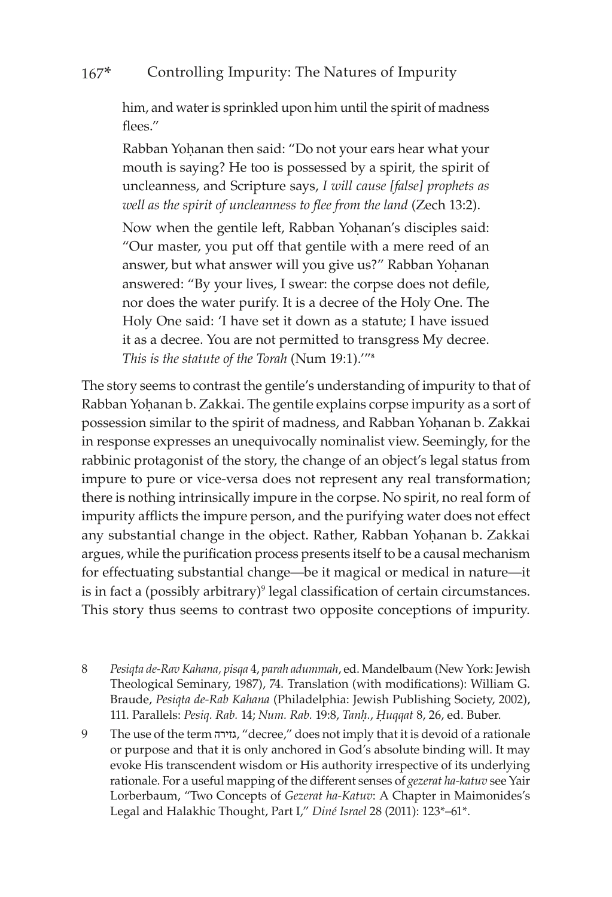him, and water is sprinkled upon him until the spirit of madness flees."

Rabban Yohanan then said: "Do not your ears hear what your mouth is saying? He too is possessed by a spirit, the spirit of uncleanness, and Scripture says, *I will cause [false] prophets as well as the spirit of uncleanness to flee from the land* (Zech 13:2).

Now when the gentile left, Rabban Yohanan's disciples said: "Our master, you put off that gentile with a mere reed of an answer, but what answer will you give us?" Rabban Yohanan answered: "By your lives, I swear: the corpse does not defile, nor does the water purify. It is a decree of the Holy One. The Holy One said: 'I have set it down as a statute; I have issued it as a decree. You are not permitted to transgress My decree. *This is the statute of the Torah* (Num 19:1).'"<sup>8</sup>

The story seems to contrast the gentile's understanding of impurity to that of Rabban Yohanan b. Zakkai. The gentile explains corpse impurity as a sort of possession similar to the spirit of madness, and Rabban Yohanan b. Zakkai in response expresses an unequivocally nominalist view. Seemingly, for the rabbinic protagonist of the story, the change of an object's legal status from impure to pure or vice-versa does not represent any real transformation; there is nothing intrinsically impure in the corpse. No spirit, no real form of impurity afflicts the impure person, and the purifying water does not effect any substantial change in the object. Rather, Rabban Yohanan b. Zakkai argues, while the purification process presents itself to be a causal mechanism for effectuating substantial change—be it magical or medical in nature—it is in fact a (possibly arbitrary)<sup>9</sup> legal classification of certain circumstances. This story thus seems to contrast two opposite conceptions of impurity.

8 *Pesiqta de-Rav Kahana, pisqa* 4, *parah adummah*, ed. Mandelbaum (New York: Jewish Theological Seminary, 1987), 74. Translation (with modifications): William G. Braude, *Pesiqta de-Rab Kahana* (Philadelphia: Jewish Publishing Society, 2002), 111. Parallels: *Pesiq. Rab.* 14; *Num. Rab.* 19:8, *Tanê.*, *Êuqqat* 8, 26, ed. Buber.

9 The use of the term גזירה," decree," does not imply that it is devoid of a rationale or purpose and that it is only anchored in God's absolute binding will. It may evoke His transcendent wisdom or His authority irrespective of its underlying rationale. For a useful mapping of the different senses of *gezerat ha-katuv* see Yair Lorberbaum, "Two Concepts of *Gezerat ha-Katuv*: A Chapter in Maimonides's Legal and Halakhic Thought, Part I," *Diné Israel* 28 (2011): 123\*–61\*.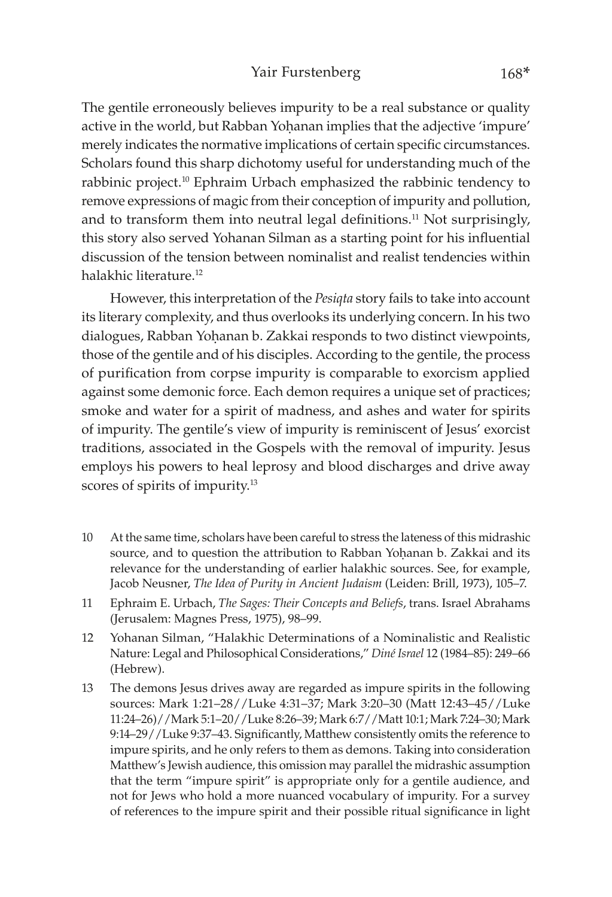The gentile erroneously believes impurity to be a real substance or quality active in the world, but Rabban Yohanan implies that the adjective 'impure' merely indicates the normative implications of certain specific circumstances. Scholars found this sharp dichotomy useful for understanding much of the rabbinic project.10 Ephraim Urbach emphasized the rabbinic tendency to remove expressions of magic from their conception of impurity and pollution, and to transform them into neutral legal definitions.<sup>11</sup> Not surprisingly, this story also served Yohanan Silman as a starting point for his influential discussion of the tension between nominalist and realist tendencies within halakhic literature.<sup>12</sup>

However, this interpretation of the *Pesiqta* story fails to take into account its literary complexity, and thus overlooks its underlying concern. In his two dialogues, Rabban Yohanan b. Zakkai responds to two distinct viewpoints, those of the gentile and of his disciples. According to the gentile, the process of purification from corpse impurity is comparable to exorcism applied against some demonic force. Each demon requires a unique set of practices; smoke and water for a spirit of madness, and ashes and water for spirits of impurity. The gentile's view of impurity is reminiscent of Jesus' exorcist traditions, associated in the Gospels with the removal of impurity. Jesus employs his powers to heal leprosy and blood discharges and drive away scores of spirits of impurity.13

- 10 At the same time, scholars have been careful to stress the lateness of this midrashic source, and to question the attribution to Rabban Yoḥanan b. Zakkai and its relevance for the understanding of earlier halakhic sources. See, for example, Jacob Neusner, *The Idea of Purity in Ancient Judaism* (Leiden: Brill, 1973), 105–7.
- 11 Ephraim E. Urbach, *The Sages: Their Concepts and Beliefs*, trans. Israel Abrahams (Jerusalem: Magnes Press, 1975), 98–99.
- 12 Yohanan Silman, "Halakhic Determinations of a Nominalistic and Realistic Nature: Legal and Philosophical Considerations," *Diné Israel* 12 (1984–85): 249–66 (Hebrew).
- 13 The demons Jesus drives away are regarded as impure spirits in the following sources: Mark 1:21–28//Luke 4:31–37; Mark 3:20–30 (Matt 12:43–45//Luke 11:24–26)//Mark 5:1–20//Luke 8:26–39; Mark 6:7//Matt 10:1; Mark 7:24–30; Mark 9:14–29//Luke 9:37–43. Significantly, Matthew consistently omits the reference to impure spirits, and he only refers to them as demons. Taking into consideration Matthew's Jewish audience, this omission may parallel the midrashic assumption that the term "impure spirit" is appropriate only for a gentile audience, and not for Jews who hold a more nuanced vocabulary of impurity. For a survey of references to the impure spirit and their possible ritual significance in light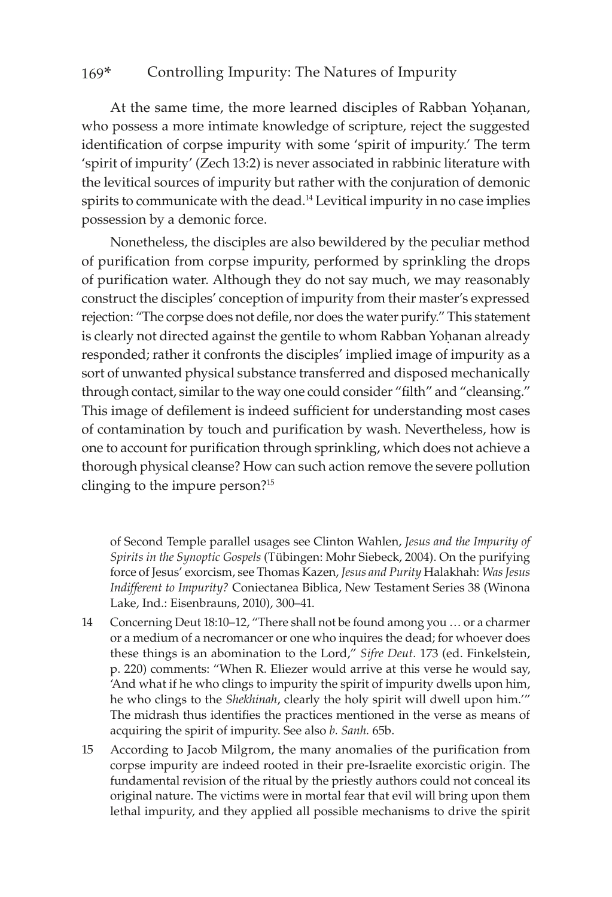At the same time, the more learned disciples of Rabban Yohanan, who possess a more intimate knowledge of scripture, reject the suggested identification of corpse impurity with some 'spirit of impurity.' The term 'spirit of impurity' (Zech 13:2) is never associated in rabbinic literature with the levitical sources of impurity but rather with the conjuration of demonic spirits to communicate with the dead.<sup>14</sup> Levitical impurity in no case implies possession by a demonic force.

Nonetheless, the disciples are also bewildered by the peculiar method of purification from corpse impurity, performed by sprinkling the drops of purification water. Although they do not say much, we may reasonably construct the disciples' conception of impurity from their master's expressed rejection: "The corpse does not defile, nor does the water purify." This statement is clearly not directed against the gentile to whom Rabban Yoḥanan already responded; rather it confronts the disciples' implied image of impurity as a sort of unwanted physical substance transferred and disposed mechanically through contact, similar to the way one could consider "filth" and "cleansing." This image of defilement is indeed sufficient for understanding most cases of contamination by touch and purification by wash. Nevertheless, how is one to account for purification through sprinkling, which does not achieve a thorough physical cleanse? How can such action remove the severe pollution clinging to the impure person?15

of Second Temple parallel usages see Clinton Wahlen, *Jesus and the Impurity of Spirits in the Synoptic Gospels* (Tübingen: Mohr Siebeck, 2004). On the purifying force of Jesus' exorcism, see Thomas Kazen, *Jesus and Purity* Halakhah: *Was Jesus Indifferent to Impurity?* Coniectanea Biblica, New Testament Series 38 (Winona Lake, Ind.: Eisenbrauns, 2010), 300–41.

- 14 Concerning Deut 18:10–12, "There shall not be found among you … or a charmer or a medium of a necromancer or one who inquires the dead; for whoever does these things is an abomination to the Lord," *Sifre Deut.* 173 (ed. Finkelstein, p. 220) comments: "When R. Eliezer would arrive at this verse he would say, 'And what if he who clings to impurity the spirit of impurity dwells upon him, he who clings to the *Shekhinah*, clearly the holy spirit will dwell upon him.'" The midrash thus identifies the practices mentioned in the verse as means of acquiring the spirit of impurity. See also *b. Sanh.* 65b.
- 15 According to Jacob Milgrom, the many anomalies of the purification from corpse impurity are indeed rooted in their pre-Israelite exorcistic origin. The fundamental revision of the ritual by the priestly authors could not conceal its original nature. The victims were in mortal fear that evil will bring upon them lethal impurity, and they applied all possible mechanisms to drive the spirit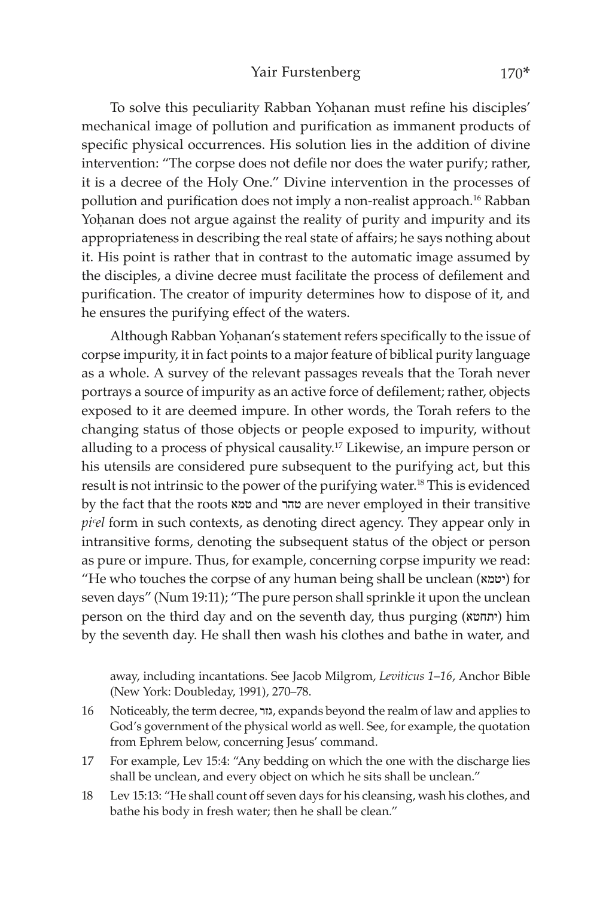To solve this peculiarity Rabban Yohanan must refine his disciples' mechanical image of pollution and purification as immanent products of specific physical occurrences. His solution lies in the addition of divine intervention: "The corpse does not defile nor does the water purify; rather, it is a decree of the Holy One." Divine intervention in the processes of pollution and purification does not imply a non-realist approach.16 Rabban Yohanan does not argue against the reality of purity and impurity and its appropriateness in describing the real state of affairs; he says nothing about it. His point is rather that in contrast to the automatic image assumed by the disciples, a divine decree must facilitate the process of defilement and purification. The creator of impurity determines how to dispose of it, and he ensures the purifying effect of the waters.

Although Rabban Yoḥanan's statement refers specifically to the issue of corpse impurity, it in fact points to a major feature of biblical purity language as a whole. A survey of the relevant passages reveals that the Torah never portrays a source of impurity as an active force of defilement; rather, objects exposed to it are deemed impure. In other words, the Torah refers to the changing status of those objects or people exposed to impurity, without alluding to a process of physical causality.17 Likewise, an impure person or his utensils are considered pure subsequent to the purifying act, but this result is not intrinsic to the power of the purifying water.18 This is evidenced by the fact that the roots טמא and טהר are never employed in their transitive *piᶜel* form in such contexts, as denoting direct agency. They appear only in intransitive forms, denoting the subsequent status of the object or person as pure or impure. Thus, for example, concerning corpse impurity we read: "He who touches the corpse of any human being shall be unclean (יטמא) for seven days" (Num 19:11); "The pure person shall sprinkle it upon the unclean person on the third day and on the seventh day, thus purging (יתחטא) him by the seventh day. He shall then wash his clothes and bathe in water, and

away, including incantations. See Jacob Milgrom, *Leviticus 1*–*16*, Anchor Bible (New York: Doubleday, 1991), 270–78.

- 16 Noticeably, the term decree, גזר, expands beyond the realm of law and applies to God's government of the physical world as well. See, for example, the quotation from Ephrem below, concerning Jesus' command.
- 17 For example, Lev 15:4: "Any bedding on which the one with the discharge lies shall be unclean, and every object on which he sits shall be unclean."
- 18 Lev 15:13: "He shall count off seven days for his cleansing, wash his clothes, and bathe his body in fresh water; then he shall be clean."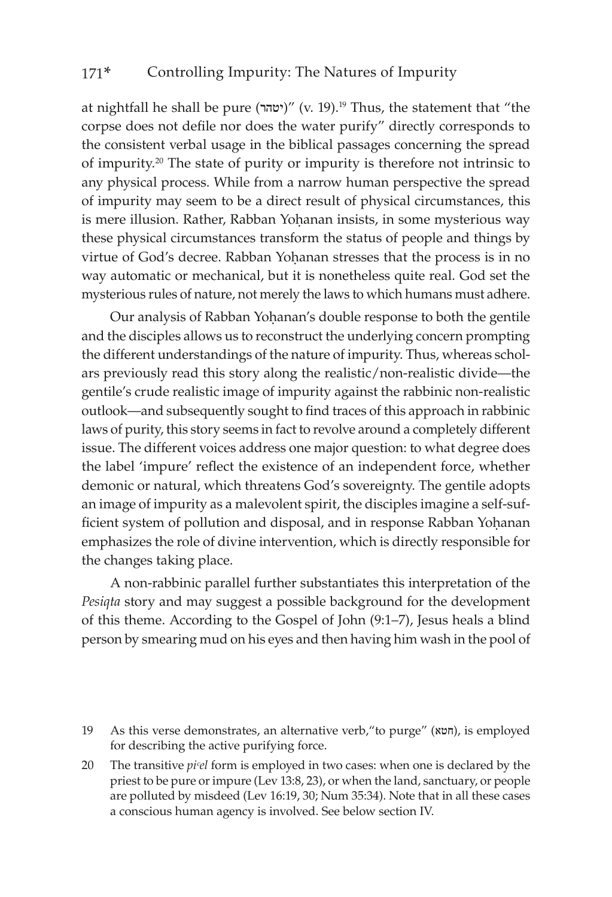at nightfall he shall be pure (יטהר)" (v. 19).<sup>19</sup> Thus, the statement that "the corpse does not defile nor does the water purify" directly corresponds to the consistent verbal usage in the biblical passages concerning the spread of impurity.20 The state of purity or impurity is therefore not intrinsic to any physical process. While from a narrow human perspective the spread of impurity may seem to be a direct result of physical circumstances, this is mere illusion. Rather, Rabban Yoḥanan insists, in some mysterious way these physical circumstances transform the status of people and things by virtue of God's decree. Rabban Yohanan stresses that the process is in no way automatic or mechanical, but it is nonetheless quite real. God set the mysterious rules of nature, not merely the laws to which humans must adhere.

Our analysis of Rabban Yohanan's double response to both the gentile and the disciples allows us to reconstruct the underlying concern prompting the different understandings of the nature of impurity. Thus, whereas scholars previously read this story along the realistic/non-realistic divide—the gentile's crude realistic image of impurity against the rabbinic non-realistic outlook—and subsequently sought to find traces of this approach in rabbinic laws of purity, this story seems in fact to revolve around a completely different issue. The different voices address one major question: to what degree does the label 'impure' reflect the existence of an independent force, whether demonic or natural, which threatens God's sovereignty. The gentile adopts an image of impurity as a malevolent spirit, the disciples imagine a self-sufficient system of pollution and disposal, and in response Rabban Yohanan emphasizes the role of divine intervention, which is directly responsible for the changes taking place.

A non-rabbinic parallel further substantiates this interpretation of the *Pesiqta* story and may suggest a possible background for the development of this theme. According to the Gospel of John (9:1–7), Jesus heals a blind person by smearing mud on his eyes and then having him wash in the pool of

20 The transitive *pi*<sup>*el*</sup> form is employed in two cases: when one is declared by the priest to be pure or impure (Lev 13:8, 23), or when the land, sanctuary, or people are polluted by misdeed (Lev 16:19, 30; Num 35:34). Note that in all these cases a conscious human agency is involved. See below section IV.

<sup>19</sup> As this verse demonstrates, an alternative verb, "to purge" (חטא), is employed for describing the active purifying force.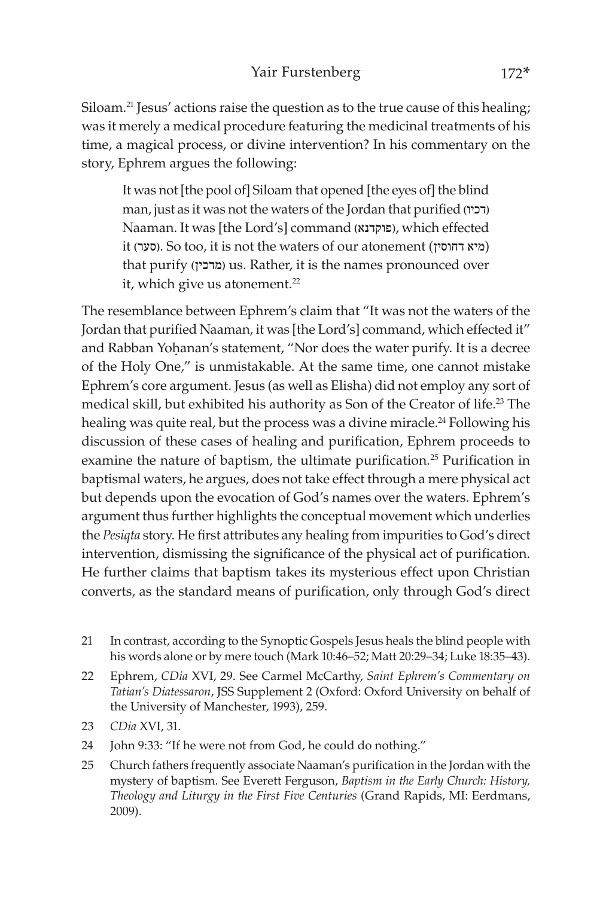Siloam.<sup>21</sup> Jesus' actions raise the question as to the true cause of this healing; was it merely a medical procedure featuring the medicinal treatments of his time, a magical process, or divine intervention? In his commentary on the story, Ephrem argues the following:

It was not [the pool of] Siloam that opened [the eyes of] the blind man, just as it was not the waters of the Jordan that purified )דכיו) Naaman. It was [the Lord's] command )פוקדנא), which effected it (סער). So too, it is not the waters of our atonement (מיא דחוסין) that purify (מדכין) us. Rather, it is the names pronounced over it, which give us atonement.<sup>22</sup>

The resemblance between Ephrem's claim that "It was not the waters of the Jordan that purified Naaman, it was [the Lord's] command, which effected it" and Rabban Yohanan's statement, "Nor does the water purify. It is a decree of the Holy One," is unmistakable. At the same time, one cannot mistake Ephrem's core argument. Jesus (as well as Elisha) did not employ any sort of medical skill, but exhibited his authority as Son of the Creator of life.<sup>23</sup> The healing was quite real, but the process was a divine miracle.<sup>24</sup> Following his discussion of these cases of healing and purification, Ephrem proceeds to examine the nature of baptism, the ultimate purification.<sup>25</sup> Purification in baptismal waters, he argues, does not take effect through a mere physical act but depends upon the evocation of God's names over the waters. Ephrem's argument thus further highlights the conceptual movement which underlies the *Pesiqta* story. He first attributes any healing from impurities to God's direct intervention, dismissing the significance of the physical act of purification. He further claims that baptism takes its mysterious effect upon Christian converts, as the standard means of purification, only through God's direct

- 21 In contrast, according to the Synoptic Gospels Jesus heals the blind people with his words alone or by mere touch (Mark 10:46–52; Matt 20:29–34; Luke 18:35–43).
- 22 Ephrem, *CDia* XVI, 29. See Carmel McCarthy, *Saint Ephrem's Commentary on Tatian's Diatessaron*, JSS Supplement 2 (Oxford: Oxford University on behalf of the University of Manchester, 1993), 259.
- 23 *CDia* XVI, 31.
- 24 John 9:33: "If he were not from God, he could do nothing."
- 25 Church fathers frequently associate Naaman's purification in the Jordan with the mystery of baptism. See Everett Ferguson, *Baptism in the Early Church: History, Theology and Liturgy in the First Five Centuries* (Grand Rapids, MI: Eerdmans, 2009).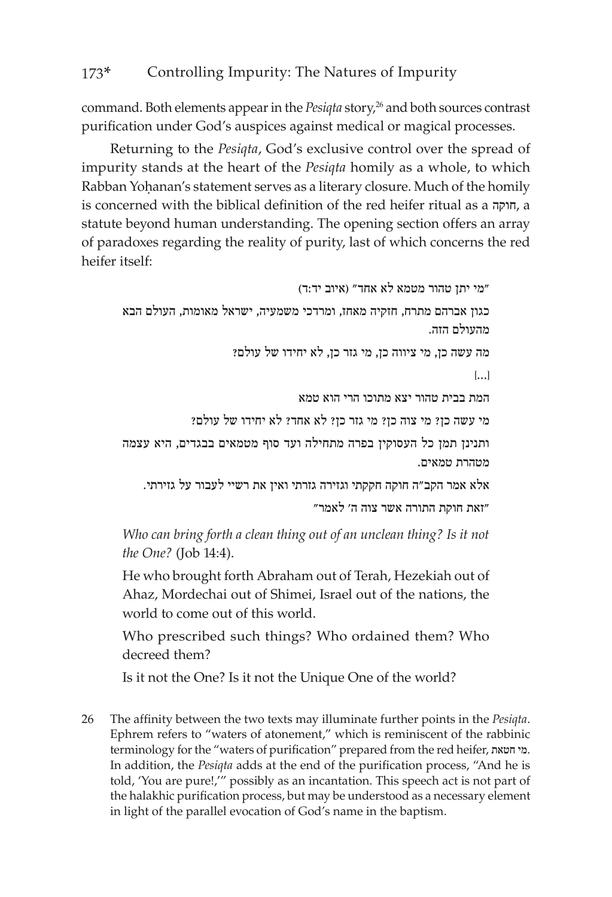command. Both elements appear in the *Pesiqta* story,<sup>26</sup> and both sources contrast purification under God's auspices against medical or magical processes.

Returning to the *Pesiqta*, God's exclusive control over the spread of impurity stands at the heart of the *Pesiqta* homily as a whole, to which Rabban Yohanan's statement serves as a literary closure. Much of the homily is concerned with the biblical definition of the red heifer ritual as a חוקה, a statute beyond human understanding. The opening section offers an array of paradoxes regarding the reality of purity, last of which concerns the red heifer itself:

```
"מי יתן טהור מטמא לא אחד" (איוב יד:ד)
כגון אברהם מתרח, חזקיה מאחז, ומרדכי משמעיה, ישראל מאומות, העולם הבא 
                                                          מהעולם הזה.
                     מה עשה כן, מי ציווה כן, מי גזר כן, לא יחידו של עולם?
                                                                   ]...[
                                 המת בבית טהור יצא מתוכו הרי הוא טמא 
             מי עשה כן? מי צוה כן? מי גזר כן? לא אחד? לא יחידו של עולם?
ותנינן תמן כל העסוקין בפרה מתחילה ועד סוף מטמאים בבגדים, היא עצמה 
                                                        מטהרת טמאים.
   אלא אמר הקב"ה חוקה חקקתי וגזירה גזרתי ואין את רשיי לעבור על גזירתי. 
                                    "זאת חוקת התורה אשר צוה ה' לאמר"
```
*Who can bring forth a clean thing out of an unclean thing? Is it not the One?* (Job 14:4).

He who brought forth Abraham out of Terah, Hezekiah out of Ahaz, Mordechai out of Shimei, Israel out of the nations, the world to come out of this world.

Who prescribed such things? Who ordained them? Who decreed them?

Is it not the One? Is it not the Unique One of the world?

26 The affinity between the two texts may illuminate further points in the *Pesiqta*. Ephrem refers to "waters of atonement," which is reminiscent of the rabbinic terminology for the "waters of purification" prepared from the red heifer, חטאת מי. In addition, the *Pesiqta* adds at the end of the purification process, "And he is told, 'You are pure!,'" possibly as an incantation. This speech act is not part of the halakhic purification process, but may be understood as a necessary element in light of the parallel evocation of God's name in the baptism.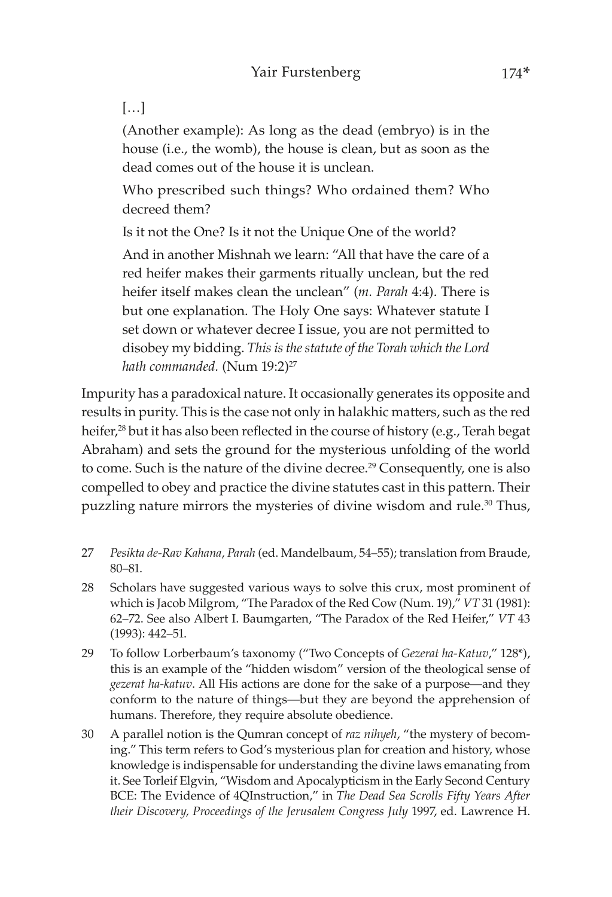### […]

(Another example): As long as the dead (embryo) is in the house (i.e., the womb), the house is clean, but as soon as the dead comes out of the house it is unclean.

Who prescribed such things? Who ordained them? Who decreed them?

Is it not the One? Is it not the Unique One of the world?

And in another Mishnah we learn: "All that have the care of a red heifer makes their garments ritually unclean, but the red heifer itself makes clean the unclean" (*m. Parah* 4:4). There is but one explanation. The Holy One says: Whatever statute I set down or whatever decree I issue, you are not permitted to disobey my bidding. *This is the statute of the Torah which the Lord*  hath commanded. (Num 19:2)<sup>27</sup>

Impurity has a paradoxical nature. It occasionally generates its opposite and results in purity. This is the case not only in halakhic matters, such as the red heifer,<sup>28</sup> but it has also been reflected in the course of history (e.g., Terah begat Abraham) and sets the ground for the mysterious unfolding of the world to come. Such is the nature of the divine decree.<sup>29</sup> Consequently, one is also compelled to obey and practice the divine statutes cast in this pattern. Their puzzling nature mirrors the mysteries of divine wisdom and rule.<sup>30</sup> Thus,

- 27 *Pesikta de-Rav Kahana*, *Parah* (ed. Mandelbaum, 54–55); translation from Braude, 80–81.
- 28 Scholars have suggested various ways to solve this crux, most prominent of which is Jacob Milgrom, "The Paradox of the Red Cow (Num. 19)," *VT* 31 (1981): 62–72. See also Albert I. Baumgarten, "The Paradox of the Red Heifer," *VT* 43 (1993): 442–51.
- 29 To follow Lorberbaum's taxonomy ("Two Concepts of *Gezerat ha-Katuv*," 128\*), this is an example of the "hidden wisdom" version of the theological sense of *gezerat ha-katuv*. All His actions are done for the sake of a purpose—and they conform to the nature of things—but they are beyond the apprehension of humans. Therefore, they require absolute obedience.
- 30 A parallel notion is the Qumran concept of *raz nihyeh*, "the mystery of becoming." This term refers to God's mysterious plan for creation and history, whose knowledge is indispensable for understanding the divine laws emanating from it. See Torleif Elgvin, "Wisdom and Apocalypticism in the Early Second Century BCE: The Evidence of 4QInstruction," in *The Dead Sea Scrolls Fifty Years After their Discovery, Proceedings of the Jerusalem Congress July* 1997, ed. Lawrence H.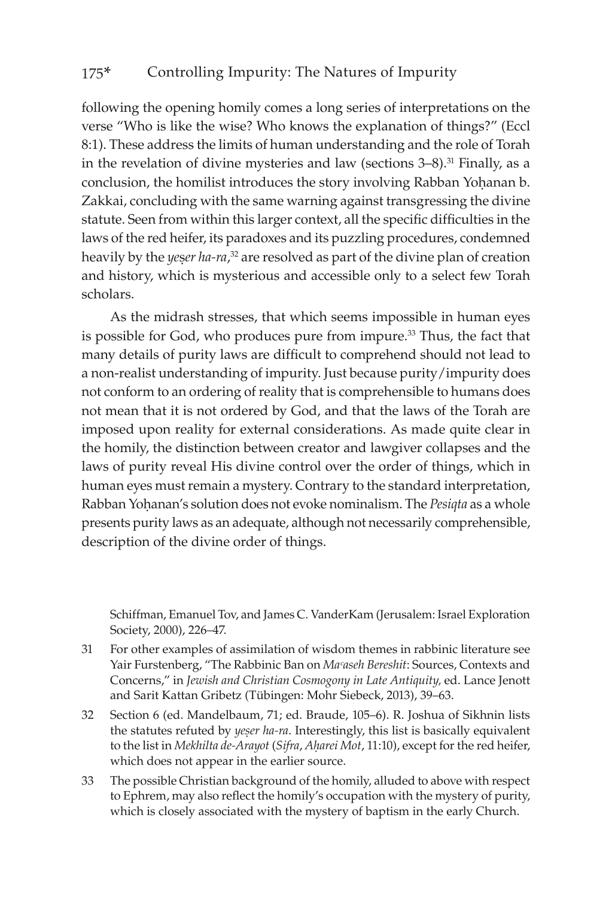following the opening homily comes a long series of interpretations on the verse "Who is like the wise? Who knows the explanation of things?" (Eccl 8:1). These address the limits of human understanding and the role of Torah in the revelation of divine mysteries and law (sections 3–8).<sup>31</sup> Finally, as a conclusion, the homilist introduces the story involving Rabban Yohanan b. Zakkai, concluding with the same warning against transgressing the divine statute. Seen from within this larger context, all the specific difficulties in the laws of the red heifer, its paradoxes and its puzzling procedures, condemned heavily by the *yeser ha-ra*,<sup>32</sup> are resolved as part of the divine plan of creation and history, which is mysterious and accessible only to a select few Torah scholars.

As the midrash stresses, that which seems impossible in human eyes is possible for God, who produces pure from impure.<sup>33</sup> Thus, the fact that many details of purity laws are difficult to comprehend should not lead to a non-realist understanding of impurity. Just because purity/impurity does not conform to an ordering of reality that is comprehensible to humans does not mean that it is not ordered by God, and that the laws of the Torah are imposed upon reality for external considerations. As made quite clear in the homily, the distinction between creator and lawgiver collapses and the laws of purity reveal His divine control over the order of things, which in human eyes must remain a mystery. Contrary to the standard interpretation, Rabban Yohanan's solution does not evoke nominalism. The *Pesiqta* as a whole presents purity laws as an adequate, although not necessarily comprehensible, description of the divine order of things.

Schiffman, Emanuel Tov, and James C. VanderKam (Jerusalem: Israel Exploration Society, 2000), 226–47.

- 31 For other examples of assimilation of wisdom themes in rabbinic literature see Yair Furstenberg, "The Rabbinic Ban on *Maᶜaseh Bereshit*: Sources, Contexts and Concerns," in *Jewish and Christian Cosmogony in Late Antiquity,* ed. Lance Jenott and Sarit Kattan Gribetz (Tübingen: Mohr Siebeck, 2013), 39–63.
- 32 Section 6 (ed. Mandelbaum, 71; ed. Braude, 105–6). R. Joshua of Sikhnin lists the statutes refuted by *yeser ha-ra*. Interestingly, this list is basically equivalent to the list in *Mekhilta de-Arayot* (*Sifra, Aharei Mot*, 11:10), except for the red heifer, which does not appear in the earlier source.
- 33 The possible Christian background of the homily, alluded to above with respect to Ephrem, may also reflect the homily's occupation with the mystery of purity, which is closely associated with the mystery of baptism in the early Church.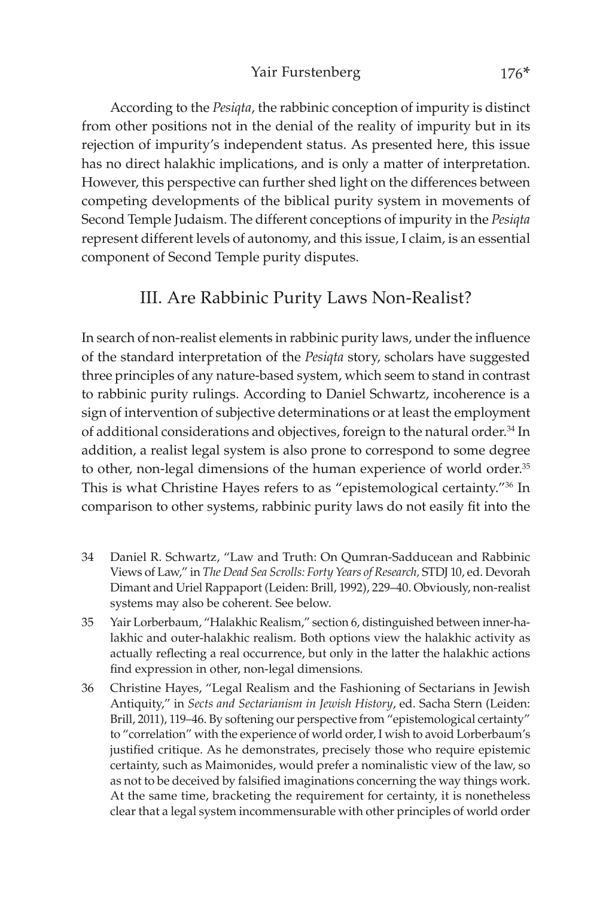According to the *Pesiqta*, the rabbinic conception of impurity is distinct from other positions not in the denial of the reality of impurity but in its rejection of impurity's independent status. As presented here, this issue has no direct halakhic implications, and is only a matter of interpretation. However, this perspective can further shed light on the differences between competing developments of the biblical purity system in movements of Second Temple Judaism. The different conceptions of impurity in the *Pesiqta* represent different levels of autonomy, and this issue, I claim, is an essential component of Second Temple purity disputes.

### III. Are Rabbinic Purity Laws Non-Realist?

In search of non-realist elements in rabbinic purity laws, under the influence of the standard interpretation of the *Pesiqta* story, scholars have suggested three principles of any nature-based system, which seem to stand in contrast to rabbinic purity rulings. According to Daniel Schwartz, incoherence is a sign of intervention of subjective determinations or at least the employment of additional considerations and objectives, foreign to the natural order.<sup>34</sup> In addition, a realist legal system is also prone to correspond to some degree to other, non-legal dimensions of the human experience of world order.<sup>35</sup> This is what Christine Hayes refers to as "epistemological certainty."36 In comparison to other systems, rabbinic purity laws do not easily fit into the

- 34 Daniel R. Schwartz, "Law and Truth: On Qumran-Sadducean and Rabbinic Views of Law," in *The Dead Sea Scrolls: Forty Years of Research,* STDJ 10, ed. Devorah Dimant and Uriel Rappaport (Leiden: Brill, 1992), 229–40. Obviously, non-realist systems may also be coherent. See below.
- 35 Yair Lorberbaum, "Halakhic Realism," section 6, distinguished between inner-halakhic and outer-halakhic realism. Both options view the halakhic activity as actually reflecting a real occurrence, but only in the latter the halakhic actions find expression in other, non-legal dimensions.
- 36 Christine Hayes, "Legal Realism and the Fashioning of Sectarians in Jewish Antiquity," in *Sects and Sectarianism in Jewish History*, ed. Sacha Stern (Leiden: Brill, 2011), 119–46. By softening our perspective from "epistemological certainty" to "correlation" with the experience of world order, I wish to avoid Lorberbaum's justified critique. As he demonstrates, precisely those who require epistemic certainty, such as Maimonides, would prefer a nominalistic view of the law, so as not to be deceived by falsified imaginations concerning the way things work. At the same time, bracketing the requirement for certainty, it is nonetheless clear that a legal system incommensurable with other principles of world order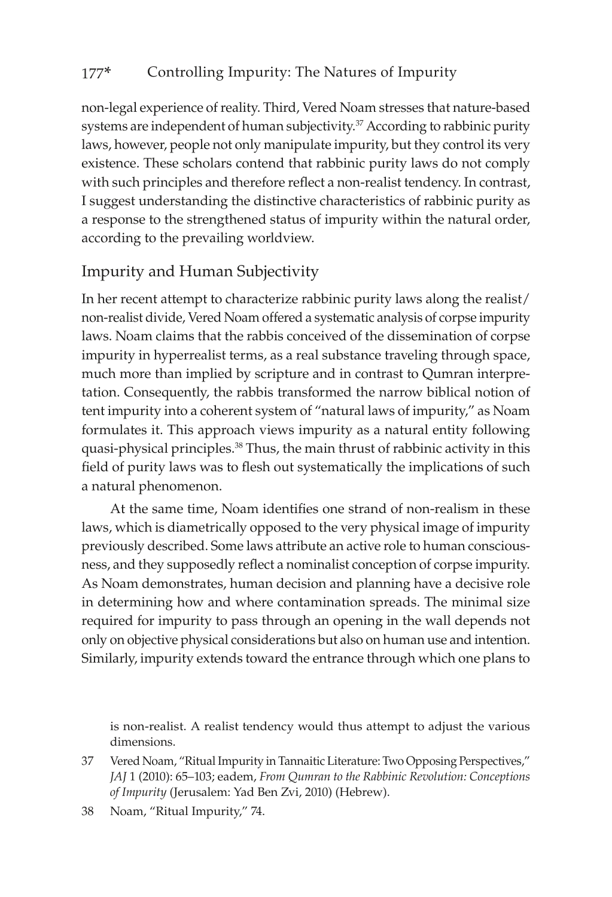non-legal experience of reality. Third, Vered Noam stresses that nature-based systems are independent of human subjectivity.<sup>37</sup> According to rabbinic purity laws, however, people not only manipulate impurity, but they control its very existence. These scholars contend that rabbinic purity laws do not comply with such principles and therefore reflect a non-realist tendency. In contrast, I suggest understanding the distinctive characteristics of rabbinic purity as a response to the strengthened status of impurity within the natural order, according to the prevailing worldview.

### Impurity and Human Subjectivity

In her recent attempt to characterize rabbinic purity laws along the realist/ non-realist divide, Vered Noam offered a systematic analysis of corpse impurity laws. Noam claims that the rabbis conceived of the dissemination of corpse impurity in hyperrealist terms, as a real substance traveling through space, much more than implied by scripture and in contrast to Qumran interpretation. Consequently, the rabbis transformed the narrow biblical notion of tent impurity into a coherent system of "natural laws of impurity," as Noam formulates it. This approach views impurity as a natural entity following quasi-physical principles.<sup>38</sup> Thus, the main thrust of rabbinic activity in this field of purity laws was to flesh out systematically the implications of such a natural phenomenon.

At the same time, Noam identifies one strand of non-realism in these laws, which is diametrically opposed to the very physical image of impurity previously described. Some laws attribute an active role to human consciousness, and they supposedly reflect a nominalist conception of corpse impurity. As Noam demonstrates, human decision and planning have a decisive role in determining how and where contamination spreads. The minimal size required for impurity to pass through an opening in the wall depends not only on objective physical considerations but also on human use and intention. Similarly, impurity extends toward the entrance through which one plans to

is non-realist. A realist tendency would thus attempt to adjust the various dimensions.

<sup>37</sup> Vered Noam, "Ritual Impurity in Tannaitic Literature: Two Opposing Perspectives," *JAJ* 1 (2010): 65–103; eadem, *From Qumran to the Rabbinic Revolution: Conceptions of Impurity* (Jerusalem: Yad Ben Zvi, 2010) (Hebrew).

<sup>38</sup> Noam, "Ritual Impurity," 74.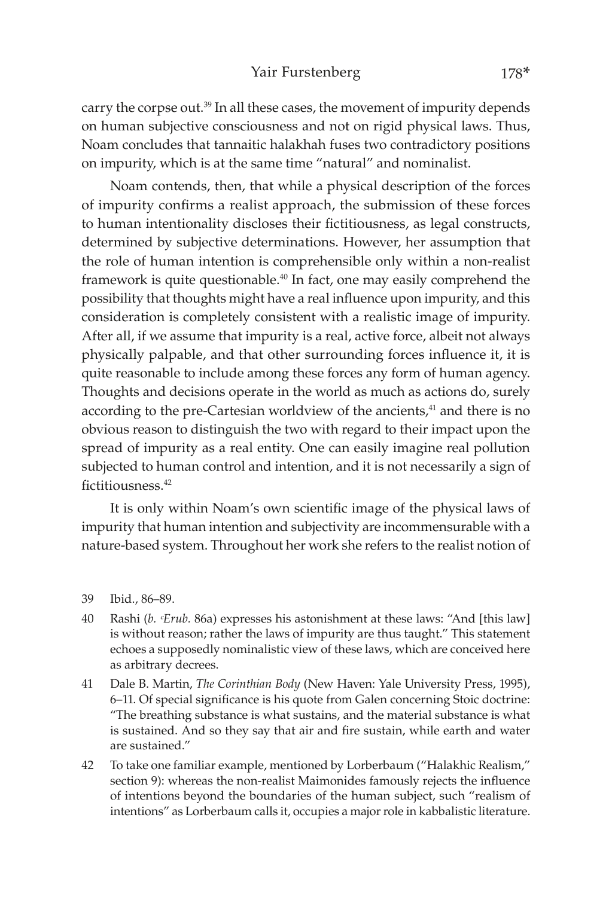#### Yair Furstenberg 178\*

carry the corpse out.39 In all these cases, the movement of impurity depends on human subjective consciousness and not on rigid physical laws. Thus, Noam concludes that tannaitic halakhah fuses two contradictory positions on impurity, which is at the same time "natural" and nominalist.

Noam contends, then, that while a physical description of the forces of impurity confirms a realist approach, the submission of these forces to human intentionality discloses their fictitiousness, as legal constructs, determined by subjective determinations. However, her assumption that the role of human intention is comprehensible only within a non-realist framework is quite questionable.40 In fact, one may easily comprehend the possibility that thoughts might have a real influence upon impurity, and this consideration is completely consistent with a realistic image of impurity. After all, if we assume that impurity is a real, active force, albeit not always physically palpable, and that other surrounding forces influence it, it is quite reasonable to include among these forces any form of human agency. Thoughts and decisions operate in the world as much as actions do, surely according to the pre-Cartesian worldview of the ancients, $41$  and there is no obvious reason to distinguish the two with regard to their impact upon the spread of impurity as a real entity. One can easily imagine real pollution subjected to human control and intention, and it is not necessarily a sign of fictitiousness.<sup>42</sup>

It is only within Noam's own scientific image of the physical laws of impurity that human intention and subjectivity are incommensurable with a nature-based system. Throughout her work she refers to the realist notion of

- 40 Rashi (*b. ᶜErub.* 86a) expresses his astonishment at these laws: "And [this law] is without reason; rather the laws of impurity are thus taught." This statement echoes a supposedly nominalistic view of these laws, which are conceived here as arbitrary decrees.
- 41 Dale B. Martin, *The Corinthian Body* (New Haven: Yale University Press, 1995), 6–11. Of special significance is his quote from Galen concerning Stoic doctrine: "The breathing substance is what sustains, and the material substance is what is sustained. And so they say that air and fire sustain, while earth and water are sustained."
- 42 To take one familiar example, mentioned by Lorberbaum ("Halakhic Realism," section 9): whereas the non-realist Maimonides famously rejects the influence of intentions beyond the boundaries of the human subject, such "realism of intentions" as Lorberbaum calls it, occupies a major role in kabbalistic literature.

<sup>39</sup> Ibid., 86–89.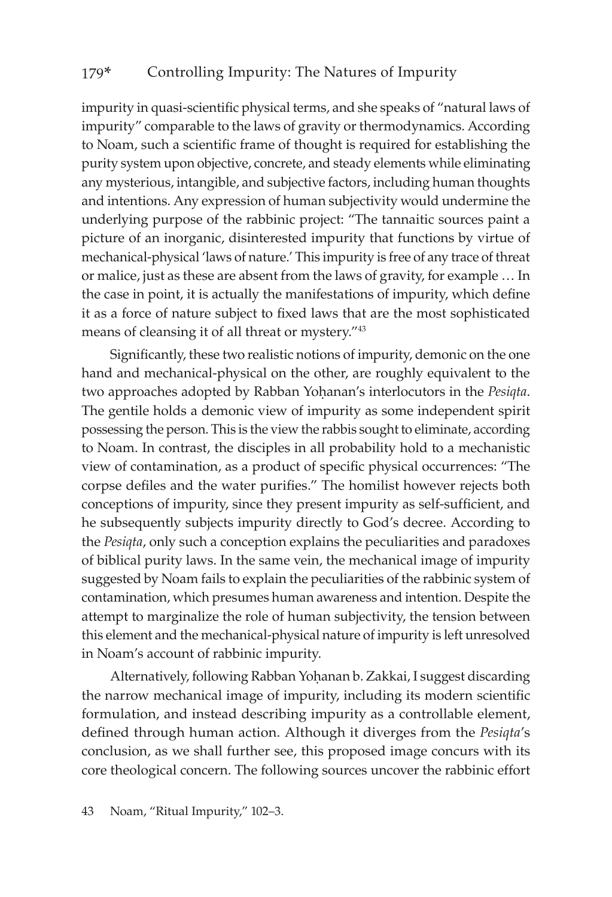impurity in quasi-scientific physical terms, and she speaks of "natural laws of impurity" comparable to the laws of gravity or thermodynamics. According to Noam, such a scientific frame of thought is required for establishing the purity system upon objective, concrete, and steady elements while eliminating any mysterious, intangible, and subjective factors, including human thoughts and intentions. Any expression of human subjectivity would undermine the underlying purpose of the rabbinic project: "The tannaitic sources paint a picture of an inorganic, disinterested impurity that functions by virtue of mechanical-physical 'laws of nature.' This impurity is free of any trace of threat or malice, just as these are absent from the laws of gravity, for example … In the case in point, it is actually the manifestations of impurity, which define it as a force of nature subject to fixed laws that are the most sophisticated means of cleansing it of all threat or mystery."43

Significantly, these two realistic notions of impurity, demonic on the one hand and mechanical-physical on the other, are roughly equivalent to the two approaches adopted by Rabban Yohanan's interlocutors in the *Pesiqta*. The gentile holds a demonic view of impurity as some independent spirit possessing the person. This is the view the rabbis sought to eliminate, according to Noam. In contrast, the disciples in all probability hold to a mechanistic view of contamination, as a product of specific physical occurrences: "The corpse defiles and the water purifies." The homilist however rejects both conceptions of impurity, since they present impurity as self-sufficient, and he subsequently subjects impurity directly to God's decree. According to the *Pesiqta*, only such a conception explains the peculiarities and paradoxes of biblical purity laws. In the same vein, the mechanical image of impurity suggested by Noam fails to explain the peculiarities of the rabbinic system of contamination, which presumes human awareness and intention. Despite the attempt to marginalize the role of human subjectivity, the tension between this element and the mechanical-physical nature of impurity is left unresolved in Noam's account of rabbinic impurity.

Alternatively, following Rabban Yoḥanan b. Zakkai, I suggest discarding the narrow mechanical image of impurity, including its modern scientific formulation, and instead describing impurity as a controllable element, defined through human action. Although it diverges from the *Pesiqta*'s conclusion, as we shall further see, this proposed image concurs with its core theological concern. The following sources uncover the rabbinic effort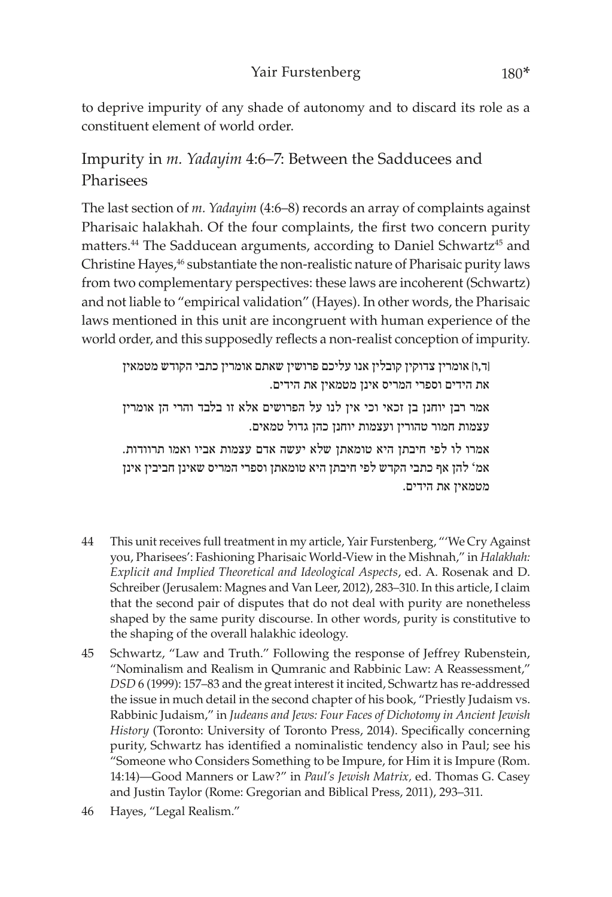to deprive impurity of any shade of autonomy and to discard its role as a constituent element of world order.

### Impurity in *m. Yadayim* 4:6–7: Between the Sadducees and **Pharisees**

The last section of *m. Yadayim* (4:6–8) records an array of complaints against Pharisaic halakhah. Of the four complaints, the first two concern purity matters.<sup>44</sup> The Sadducean arguments, according to Daniel Schwartz<sup>45</sup> and Christine Hayes,<sup>46</sup> substantiate the non-realistic nature of Pharisaic purity laws from two complementary perspectives: these laws are incoherent (Schwartz) and not liable to "empirical validation" (Hayes). In other words, the Pharisaic laws mentioned in this unit are incongruent with human experience of the world order, and this supposedly reflects a non-realist conception of impurity.

]ד,ו[ אומרין צדוקין קובלין אנו עליכם פרושין שאתם אומרין כתבי הקודש מטמאין את הידים וספרי המריס אינן מטמאין את הידים.

אמר רבן יוחנן בן זכאי וכי אין לנו על הפרושים אלא זו בלבד והרי הן אומרין עצמות חמור טהורין ועצמות יוחנן כהן גדול טמאים.

אמרו לו לפי חיבתן היא טומאתן שלא יעשה אדם עצמות אביו ואמו תרוודות. אמ' להן אף כתבי הקדש לפי חיבתן היא טומאתן וספרי המריס שאינן חביבין אינן מטמאין את הידים.

- 44 This unit receives full treatment in my article, Yair Furstenberg, "'We Cry Against you, Pharisees': Fashioning Pharisaic World-View in the Mishnah," in *Halakhah: Explicit and Implied Theoretical and Ideological Aspects*, ed. A. Rosenak and D. Schreiber (Jerusalem: Magnes and Van Leer, 2012), 283–310. In this article, I claim that the second pair of disputes that do not deal with purity are nonetheless shaped by the same purity discourse. In other words, purity is constitutive to the shaping of the overall halakhic ideology.
- 45 Schwartz, "Law and Truth." Following the response of Jeffrey Rubenstein, "Nominalism and Realism in Qumranic and Rabbinic Law: A Reassessment," *DSD* 6 (1999): 157–83 and the great interest it incited, Schwartz has re-addressed the issue in much detail in the second chapter of his book, "Priestly Judaism vs. Rabbinic Judaism," in *Judeans and Jews: Four Faces of Dichotomy in Ancient Jewish History* (Toronto: University of Toronto Press, 2014). Specifically concerning purity, Schwartz has identified a nominalistic tendency also in Paul; see his "Someone who Considers Something to be Impure, for Him it is Impure (Rom. 14:14)—Good Manners or Law?" in *Paul's Jewish Matrix,* ed. Thomas G. Casey and Justin Taylor (Rome: Gregorian and Biblical Press, 2011), 293–311.
- 46 Hayes, "Legal Realism."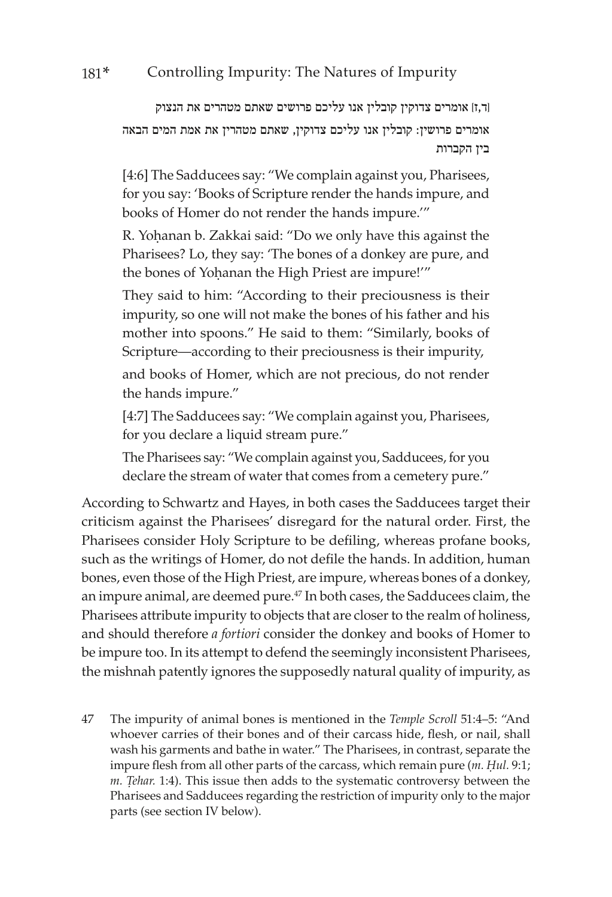]ד,ז[ אומרים צדוקין קובלין אנו עליכם פרושים שאתם מטהרים את הנצוק אומרים פרושין: קובלין אנו עליכם צדוקין, שאתם מטהרין את אמת המים הבאה בין הקברות

[4:6] The Sadducees say: "We complain against you, Pharisees, for you say: 'Books of Scripture render the hands impure, and books of Homer do not render the hands impure.'"

R. Yohanan b. Zakkai said: "Do we only have this against the Pharisees? Lo, they say: 'The bones of a donkey are pure, and the bones of Yohanan the High Priest are impure!"

They said to him: "According to their preciousness is their impurity, so one will not make the bones of his father and his mother into spoons." He said to them: "Similarly, books of Scripture—according to their preciousness is their impurity,

and books of Homer, which are not precious, do not render the hands impure."

[4:7] The Sadducees say: "We complain against you, Pharisees, for you declare a liquid stream pure."

The Pharisees say: "We complain against you, Sadducees, for you declare the stream of water that comes from a cemetery pure."

According to Schwartz and Hayes, in both cases the Sadducees target their criticism against the Pharisees' disregard for the natural order. First, the Pharisees consider Holy Scripture to be defiling, whereas profane books, such as the writings of Homer, do not defile the hands. In addition, human bones, even those of the High Priest, are impure, whereas bones of a donkey, an impure animal, are deemed pure.47 In both cases, the Sadducees claim, the Pharisees attribute impurity to objects that are closer to the realm of holiness, and should therefore *a fortiori* consider the donkey and books of Homer to be impure too. In its attempt to defend the seemingly inconsistent Pharisees, the mishnah patently ignores the supposedly natural quality of impurity, as

47 The impurity of animal bones is mentioned in the *Temple Scroll* 51:4–5: "And whoever carries of their bones and of their carcass hide, flesh, or nail, shall wash his garments and bathe in water." The Pharisees, in contrast, separate the impure flesh from all other parts of the carcass, which remain pure (*m. Ḥul.* 9:1; *m. Tehar.* 1:4). This issue then adds to the systematic controversy between the Pharisees and Sadducees regarding the restriction of impurity only to the major parts (see section IV below).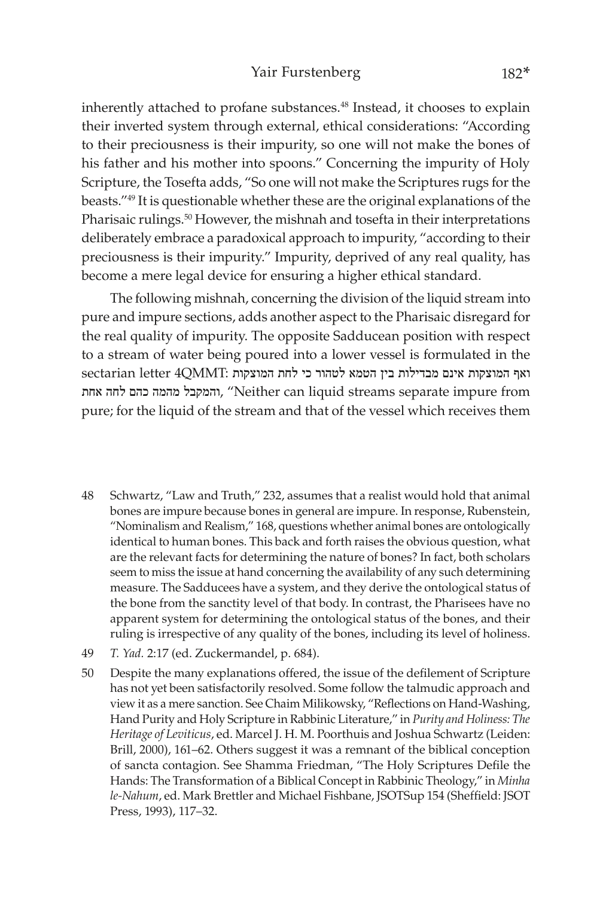inherently attached to profane substances.<sup>48</sup> Instead, it chooses to explain their inverted system through external, ethical considerations: "According to their preciousness is their impurity, so one will not make the bones of his father and his mother into spoons." Concerning the impurity of Holy Scripture, the Tosefta adds, "So one will not make the Scriptures rugs for the beasts."49 It is questionable whether these are the original explanations of the Pharisaic rulings.<sup>50</sup> However, the mishnah and tosefta in their interpretations deliberately embrace a paradoxical approach to impurity, "according to their preciousness is their impurity." Impurity, deprived of any real quality, has become a mere legal device for ensuring a higher ethical standard.

The following mishnah, concerning the division of the liquid stream into pure and impure sections, adds another aspect to the Pharisaic disregard for the real quality of impurity. The opposite Sadducean position with respect to a stream of water being poured into a lower vessel is formulated in the ואף המוצקות אינם מבדילות בין הטמא לטהור כי לחת המוצקות :QMMT4 letter sectarian אחת לחה כהם מהמה והמקבל," Neither can liquid streams separate impure from pure; for the liquid of the stream and that of the vessel which receives them

- 48 Schwartz, "Law and Truth," 232, assumes that a realist would hold that animal bones are impure because bones in general are impure. In response, Rubenstein, "Nominalism and Realism," 168, questions whether animal bones are ontologically identical to human bones. This back and forth raises the obvious question, what are the relevant facts for determining the nature of bones? In fact, both scholars seem to miss the issue at hand concerning the availability of any such determining measure. The Sadducees have a system, and they derive the ontological status of the bone from the sanctity level of that body. In contrast, the Pharisees have no apparent system for determining the ontological status of the bones, and their ruling is irrespective of any quality of the bones, including its level of holiness.
- 49 *T. Yad.* 2:17 (ed. Zuckermandel, p. 684).
- 50 Despite the many explanations offered, the issue of the defilement of Scripture has not yet been satisfactorily resolved. Some follow the talmudic approach and view it as a mere sanction. See Chaim Milikowsky, "Reflections on Hand-Washing, Hand Purity and Holy Scripture in Rabbinic Literature," in *Purity and Holiness: The Heritage of Leviticus*, ed. Marcel J. H. M. Poorthuis and Joshua Schwartz (Leiden: Brill, 2000), 161–62. Others suggest it was a remnant of the biblical conception of sancta contagion. See Shamma Friedman, "The Holy Scriptures Defile the Hands: The Transformation of a Biblical Concept in Rabbinic Theology," in *Minha le-Nahum*, ed. Mark Brettler and Michael Fishbane, JSOTSup 154 (Sheffield: JSOT Press, 1993), 117–32.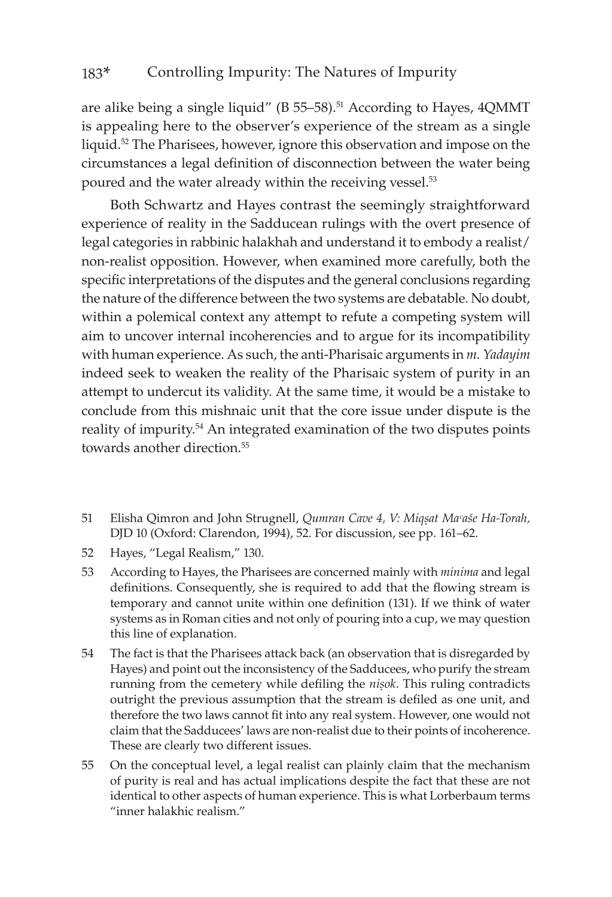are alike being a single liquid" ( $B$  55–58).<sup>51</sup> According to Hayes,  $4QMMT$ is appealing here to the observer's experience of the stream as a single liquid.52 The Pharisees, however, ignore this observation and impose on the circumstances a legal definition of disconnection between the water being poured and the water already within the receiving vessel.<sup>53</sup>

Both Schwartz and Hayes contrast the seemingly straightforward experience of reality in the Sadducean rulings with the overt presence of legal categories in rabbinic halakhah and understand it to embody a realist/ non-realist opposition. However, when examined more carefully, both the specific interpretations of the disputes and the general conclusions regarding the nature of the difference between the two systems are debatable. No doubt, within a polemical context any attempt to refute a competing system will aim to uncover internal incoherencies and to argue for its incompatibility with human experience. As such, the anti-Pharisaic arguments in *m. Yadayim* indeed seek to weaken the reality of the Pharisaic system of purity in an attempt to undercut its validity. At the same time, it would be a mistake to conclude from this mishnaic unit that the core issue under dispute is the reality of impurity.54 An integrated examination of the two disputes points towards another direction.<sup>55</sup>

- 51 Elisha Qimron and John Strugnell, *Qumran Cave 4, V: Miqúat Maᶜaśe Ha-Torah,*  DJD 10 (Oxford: Clarendon, 1994), 52. For discussion, see pp. 161–62.
- 52 Hayes, "Legal Realism," 130.
- 53 According to Hayes, the Pharisees are concerned mainly with *minima* and legal definitions. Consequently, she is required to add that the flowing stream is temporary and cannot unite within one definition (131). If we think of water systems as in Roman cities and not only of pouring into a cup, we may question this line of explanation.
- 54 The fact is that the Pharisees attack back (an observation that is disregarded by Hayes) and point out the inconsistency of the Sadducees, who purify the stream running from the cemetery while defiling the *nisok*. This ruling contradicts outright the previous assumption that the stream is defiled as one unit, and therefore the two laws cannot fit into any real system. However, one would not claim that the Sadducees' laws are non-realist due to their points of incoherence. These are clearly two different issues.
- 55 On the conceptual level, a legal realist can plainly claim that the mechanism of purity is real and has actual implications despite the fact that these are not identical to other aspects of human experience. This is what Lorberbaum terms "inner halakhic realism."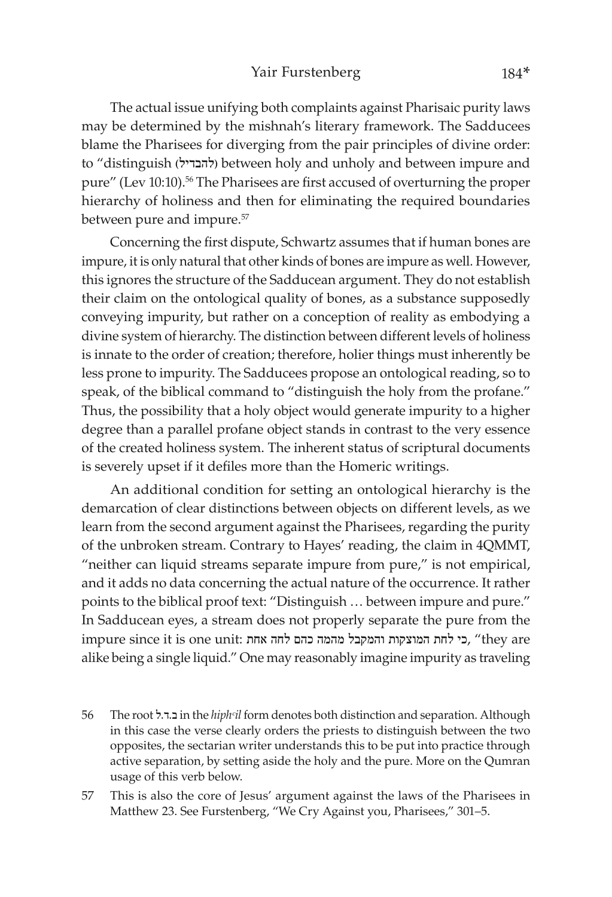The actual issue unifying both complaints against Pharisaic purity laws may be determined by the mishnah's literary framework. The Sadducees blame the Pharisees for diverging from the pair principles of divine order: to "distinguish )להבדיל )between holy and unholy and between impure and pure" (Lev 10:10).56 The Pharisees are first accused of overturning the proper hierarchy of holiness and then for eliminating the required boundaries between pure and impure.<sup>57</sup>

Concerning the first dispute, Schwartz assumes that if human bones are impure, it is only natural that other kinds of bones are impure as well. However, this ignores the structure of the Sadducean argument. They do not establish their claim on the ontological quality of bones, as a substance supposedly conveying impurity, but rather on a conception of reality as embodying a divine system of hierarchy. The distinction between different levels of holiness is innate to the order of creation; therefore, holier things must inherently be less prone to impurity. The Sadducees propose an ontological reading, so to speak, of the biblical command to "distinguish the holy from the profane." Thus, the possibility that a holy object would generate impurity to a higher degree than a parallel profane object stands in contrast to the very essence of the created holiness system. The inherent status of scriptural documents is severely upset if it defiles more than the Homeric writings.

An additional condition for setting an ontological hierarchy is the demarcation of clear distinctions between objects on different levels, as we learn from the second argument against the Pharisees, regarding the purity of the unbroken stream. Contrary to Hayes' reading, the claim in 4QMMT, "neither can liquid streams separate impure from pure," is not empirical, and it adds no data concerning the actual nature of the occurrence. It rather points to the biblical proof text: "Distinguish … between impure and pure." In Sadducean eyes, a stream does not properly separate the pure from the impure since it is one unit: כי לחת המוצקות והמקבל מהמה כהם לחה אחת, "they are alike being a single liquid." One may reasonably imagine impurity as traveling

- 56 The root ל.ד.ב in the *hiphᶜil* form denotes both distinction and separation. Although in this case the verse clearly orders the priests to distinguish between the two opposites, the sectarian writer understands this to be put into practice through active separation, by setting aside the holy and the pure. More on the Qumran usage of this verb below.
- 57 This is also the core of Jesus' argument against the laws of the Pharisees in Matthew 23. See Furstenberg, "We Cry Against you, Pharisees," 301–5.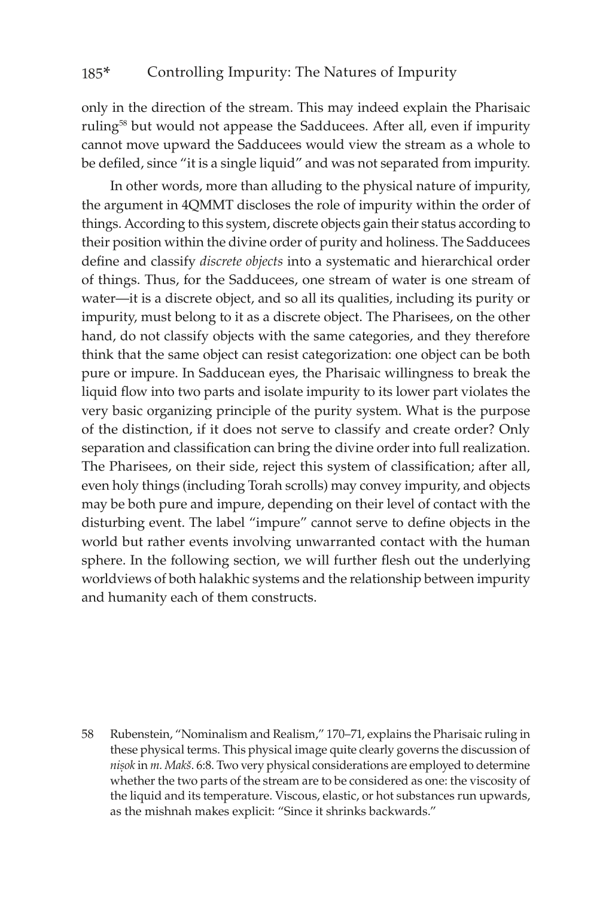only in the direction of the stream. This may indeed explain the Pharisaic ruling58 but would not appease the Sadducees. After all, even if impurity cannot move upward the Sadducees would view the stream as a whole to be defiled, since "it is a single liquid" and was not separated from impurity.

In other words, more than alluding to the physical nature of impurity, the argument in 4QMMT discloses the role of impurity within the order of things. According to this system, discrete objects gain their status according to their position within the divine order of purity and holiness. The Sadducees define and classify *discrete objects* into a systematic and hierarchical order of things. Thus, for the Sadducees, one stream of water is one stream of water—it is a discrete object, and so all its qualities, including its purity or impurity, must belong to it as a discrete object. The Pharisees, on the other hand, do not classify objects with the same categories, and they therefore think that the same object can resist categorization: one object can be both pure or impure. In Sadducean eyes, the Pharisaic willingness to break the liquid flow into two parts and isolate impurity to its lower part violates the very basic organizing principle of the purity system. What is the purpose of the distinction, if it does not serve to classify and create order? Only separation and classification can bring the divine order into full realization. The Pharisees, on their side, reject this system of classification; after all, even holy things (including Torah scrolls) may convey impurity, and objects may be both pure and impure, depending on their level of contact with the disturbing event. The label "impure" cannot serve to define objects in the world but rather events involving unwarranted contact with the human sphere. In the following section, we will further flesh out the underlying worldviews of both halakhic systems and the relationship between impurity and humanity each of them constructs.

<sup>58</sup> Rubenstein, "Nominalism and Realism," 170–71, explains the Pharisaic ruling in these physical terms. This physical image quite clearly governs the discussion of *nișok* in *m. Makš*. 6:8. Two very physical considerations are employed to determine whether the two parts of the stream are to be considered as one: the viscosity of the liquid and its temperature. Viscous, elastic, or hot substances run upwards, as the mishnah makes explicit: "Since it shrinks backwards."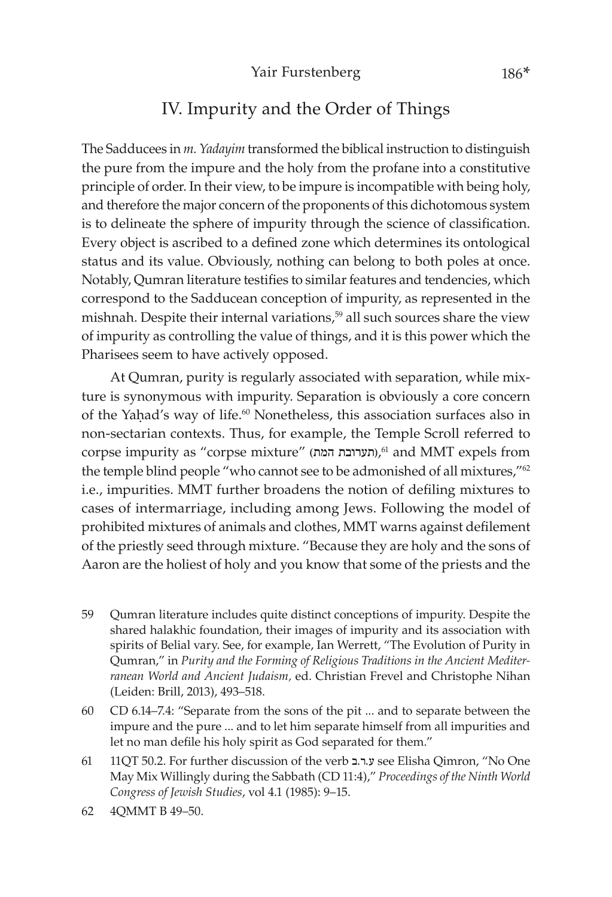### IV. Impurity and the Order of Things

The Sadducees in *m. Yadayim* transformed the biblical instruction to distinguish the pure from the impure and the holy from the profane into a constitutive principle of order. In their view, to be impure is incompatible with being holy, and therefore the major concern of the proponents of this dichotomous system is to delineate the sphere of impurity through the science of classification. Every object is ascribed to a defined zone which determines its ontological status and its value. Obviously, nothing can belong to both poles at once. Notably, Qumran literature testifies to similar features and tendencies, which correspond to the Sadducean conception of impurity, as represented in the mishnah. Despite their internal variations,<sup>59</sup> all such sources share the view of impurity as controlling the value of things, and it is this power which the Pharisees seem to have actively opposed.

At Qumran, purity is regularly associated with separation, while mixture is synonymous with impurity. Separation is obviously a core concern of the Yahad's way of life.<sup>60</sup> Nonetheless, this association surfaces also in non-sectarian contexts. Thus, for example, the Temple Scroll referred to corpse impurity as "corpse mixture" )המת תערובת), 61 and MMT expels from the temple blind people "who cannot see to be admonished of all mixtures,"62 i.e., impurities. MMT further broadens the notion of defiling mixtures to cases of intermarriage, including among Jews. Following the model of prohibited mixtures of animals and clothes, MMT warns against defilement of the priestly seed through mixture. "Because they are holy and the sons of Aaron are the holiest of holy and you know that some of the priests and the

- 59 Qumran literature includes quite distinct conceptions of impurity. Despite the shared halakhic foundation, their images of impurity and its association with spirits of Belial vary. See, for example, Ian Werrett, "The Evolution of Purity in Qumran," in *Purity and the Forming of Religious Traditions in the Ancient Mediterranean World and Ancient Judaism,* ed. Christian Frevel and Christophe Nihan (Leiden: Brill, 2013), 493–518.
- 60 CD 6.14–7.4: "Separate from the sons of the pit ... and to separate between the impure and the pure ... and to let him separate himself from all impurities and let no man defile his holy spirit as God separated for them."
- 61 11QT 50.2. For further discussion of the verb ב.ר.ע see Elisha Qimron, "No One May Mix Willingly during the Sabbath (CD 11:4)," *Proceedings of the Ninth World Congress of Jewish Studies*, vol 4.1 (1985): 9–15.
- 62 4QMMT B 49–50.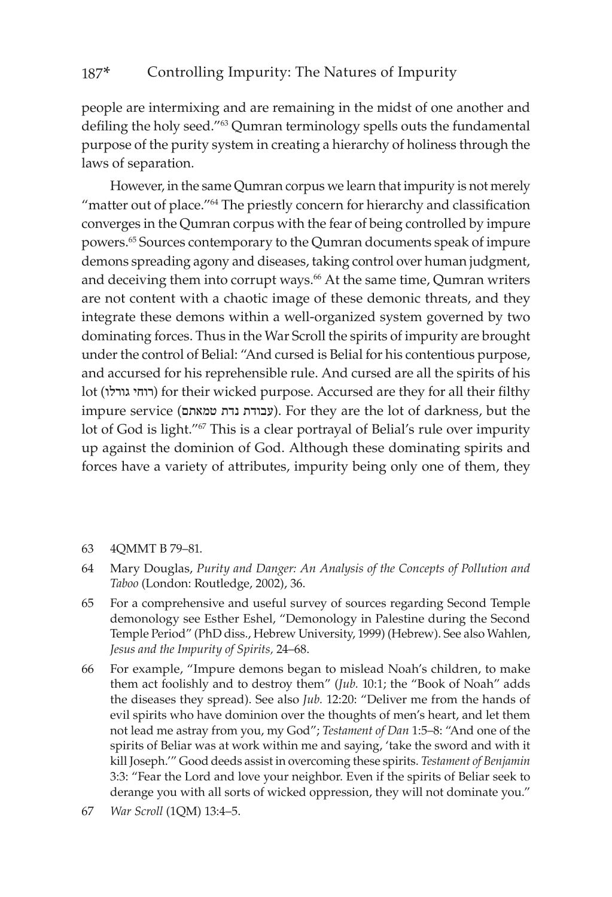people are intermixing and are remaining in the midst of one another and defiling the holy seed."63 Qumran terminology spells outs the fundamental purpose of the purity system in creating a hierarchy of holiness through the laws of separation.

However, in the same Qumran corpus we learn that impurity is not merely "matter out of place."64 The priestly concern for hierarchy and classification converges in the Qumran corpus with the fear of being controlled by impure powers.65 Sources contemporary to the Qumran documents speak of impure demons spreading agony and diseases, taking control over human judgment, and deceiving them into corrupt ways.<sup>66</sup> At the same time, Qumran writers are not content with a chaotic image of these demonic threats, and they integrate these demons within a well-organized system governed by two dominating forces. Thus in the War Scroll the spirits of impurity are brought under the control of Belial: "And cursed is Belial for his contentious purpose, and accursed for his reprehensible rule. And cursed are all the spirits of his lot (רוחי גורלו) for their wicked purpose. Accursed are they for all their filthy impure service )טמאתם נדת עבודת). For they are the lot of darkness, but the lot of God is light."<sup>67</sup> This is a clear portrayal of Belial's rule over impurity up against the dominion of God. Although these dominating spirits and forces have a variety of attributes, impurity being only one of them, they

- 63 4QMMT B 79–81.
- 64 Mary Douglas, *Purity and Danger: An Analysis of the Concepts of Pollution and Taboo* (London: Routledge, 2002), 36.
- 65 For a comprehensive and useful survey of sources regarding Second Temple demonology see Esther Eshel, "Demonology in Palestine during the Second Temple Period" (PhD diss., Hebrew University, 1999) (Hebrew). See also Wahlen, *Jesus and the Impurity of Spirits,* 24–68.
- 66 For example, "Impure demons began to mislead Noah's children, to make them act foolishly and to destroy them" (*Jub.* 10:1; the "Book of Noah" adds the diseases they spread). See also *Jub.* 12:20: "Deliver me from the hands of evil spirits who have dominion over the thoughts of men's heart, and let them not lead me astray from you, my God"; *Testament of Dan* 1:5–8: "And one of the spirits of Beliar was at work within me and saying, 'take the sword and with it kill Joseph.'" Good deeds assist in overcoming these spirits. *Testament of Benjamin* 3:3: "Fear the Lord and love your neighbor. Even if the spirits of Beliar seek to derange you with all sorts of wicked oppression, they will not dominate you."
- 67 *War Scroll* (1QM) 13:4–5.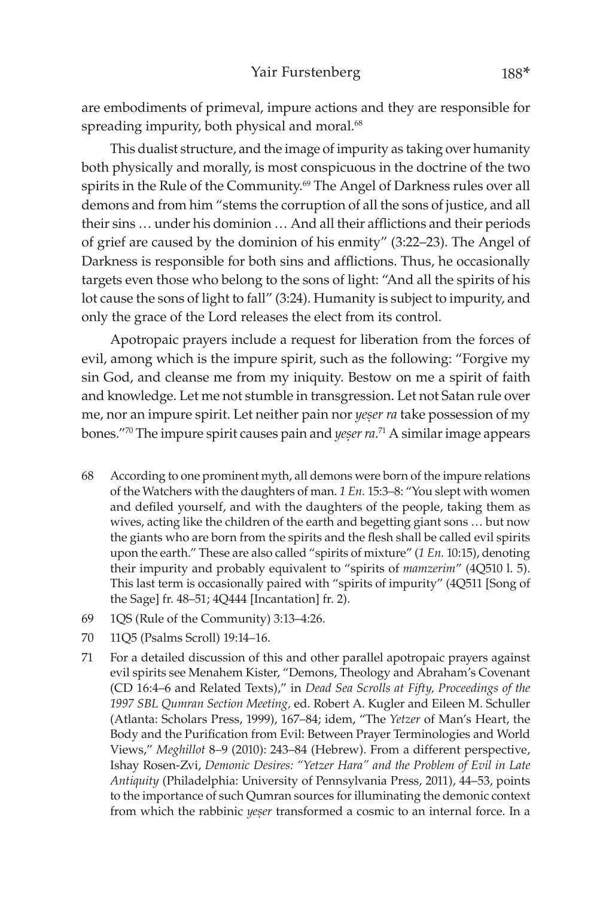are embodiments of primeval, impure actions and they are responsible for spreading impurity, both physical and moral.<sup>68</sup>

This dualist structure, and the image of impurity as taking over humanity both physically and morally, is most conspicuous in the doctrine of the two spirits in the Rule of the Community.<sup>69</sup> The Angel of Darkness rules over all demons and from him "stems the corruption of all the sons of justice, and all their sins … under his dominion … And all their afflictions and their periods of grief are caused by the dominion of his enmity" (3:22–23). The Angel of Darkness is responsible for both sins and afflictions. Thus, he occasionally targets even those who belong to the sons of light: "And all the spirits of his lot cause the sons of light to fall" (3:24). Humanity is subject to impurity, and only the grace of the Lord releases the elect from its control.

Apotropaic prayers include a request for liberation from the forces of evil, among which is the impure spirit, such as the following: "Forgive my sin God, and cleanse me from my iniquity. Bestow on me a spirit of faith and knowledge. Let me not stumble in transgression. Let not Satan rule over me, nor an impure spirit. Let neither pain nor *yeser ra* take possession of my bones."<sup>70</sup> The impure spirit causes pain and *yeṣer ra*.<sup>71</sup> A similar image appears

- 68 According to one prominent myth, all demons were born of the impure relations of the Watchers with the daughters of man. *1 En.* 15:3–8: "You slept with women and defiled yourself, and with the daughters of the people, taking them as wives, acting like the children of the earth and begetting giant sons … but now the giants who are born from the spirits and the flesh shall be called evil spirits upon the earth." These are also called "spirits of mixture" (*1 En.* 10:15), denoting their impurity and probably equivalent to "spirits of *mamzerim*" (4Q510 l. 5). This last term is occasionally paired with "spirits of impurity" (4Q511 [Song of the Sage] fr. 48–51; 4Q444 [Incantation] fr. 2).
- 69 1QS (Rule of the Community) 3:13–4:26.
- 70 11Q5 (Psalms Scroll) 19:14–16.
- 71 For a detailed discussion of this and other parallel apotropaic prayers against evil spirits see Menahem Kister, "Demons, Theology and Abraham's Covenant (CD 16:4–6 and Related Texts)," in *Dead Sea Scrolls at Fifty, Proceedings of the 1997 SBL Qumran Section Meeting,* ed. Robert A. Kugler and Eileen M. Schuller (Atlanta: Scholars Press, 1999), 167–84; idem, "The *Yetzer* of Man's Heart, the Body and the Purification from Evil: Between Prayer Terminologies and World Views," *Meghillot* 8–9 (2010): 243–84 (Hebrew). From a different perspective, Ishay Rosen-Zvi, *Demonic Desires: "Yetzer Hara" and the Problem of Evil in Late Antiquity* (Philadelphia: University of Pennsylvania Press, 2011), 44–53, points to the importance of such Qumran sources for illuminating the demonic context from which the rabbinic *yeser* transformed a cosmic to an internal force. In a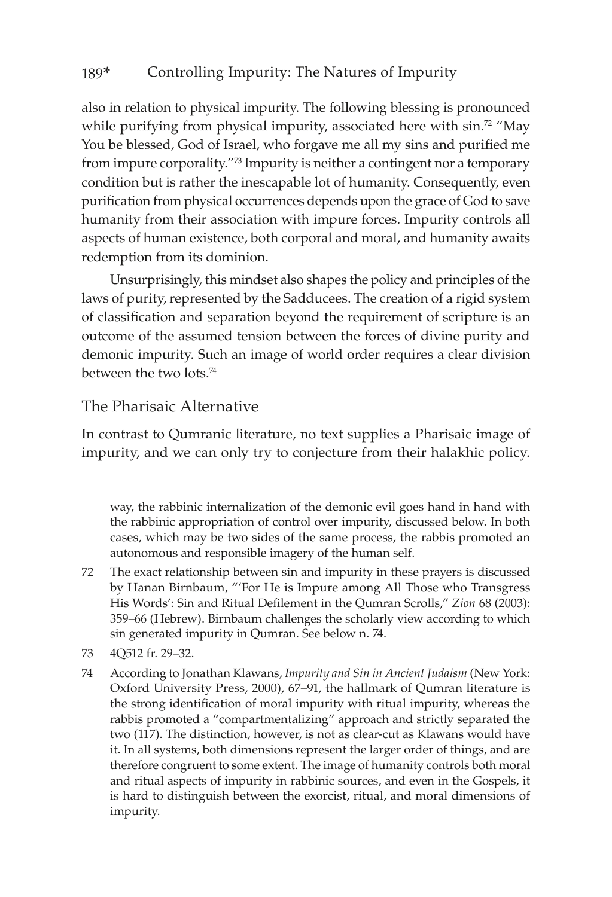also in relation to physical impurity. The following blessing is pronounced while purifying from physical impurity, associated here with sin.<sup>72</sup> "May You be blessed, God of Israel, who forgave me all my sins and purified me from impure corporality.<sup>"73</sup> Impurity is neither a contingent nor a temporary condition but is rather the inescapable lot of humanity. Consequently, even purification from physical occurrences depends upon the grace of God to save humanity from their association with impure forces. Impurity controls all aspects of human existence, both corporal and moral, and humanity awaits redemption from its dominion.

Unsurprisingly, this mindset also shapes the policy and principles of the laws of purity, represented by the Sadducees. The creation of a rigid system of classification and separation beyond the requirement of scripture is an outcome of the assumed tension between the forces of divine purity and demonic impurity. Such an image of world order requires a clear division between the two lots.74

### The Pharisaic Alternative

In contrast to Qumranic literature, no text supplies a Pharisaic image of impurity, and we can only try to conjecture from their halakhic policy.

way, the rabbinic internalization of the demonic evil goes hand in hand with the rabbinic appropriation of control over impurity, discussed below. In both cases, which may be two sides of the same process, the rabbis promoted an autonomous and responsible imagery of the human self.

- 72 The exact relationship between sin and impurity in these prayers is discussed by Hanan Birnbaum, "'For He is Impure among All Those who Transgress His Words': Sin and Ritual Defilement in the Qumran Scrolls," *Zion* 68 (2003): 359–66 (Hebrew). Birnbaum challenges the scholarly view according to which sin generated impurity in Qumran. See below n. 74.
- 73 4Q512 fr. 29–32.
- 74 According to Jonathan Klawans, *Impurity and Sin in Ancient Judaism* (New York: Oxford University Press, 2000), 67–91, the hallmark of Qumran literature is the strong identification of moral impurity with ritual impurity, whereas the rabbis promoted a "compartmentalizing" approach and strictly separated the two (117). The distinction, however, is not as clear-cut as Klawans would have it. In all systems, both dimensions represent the larger order of things, and are therefore congruent to some extent. The image of humanity controls both moral and ritual aspects of impurity in rabbinic sources, and even in the Gospels, it is hard to distinguish between the exorcist, ritual, and moral dimensions of impurity.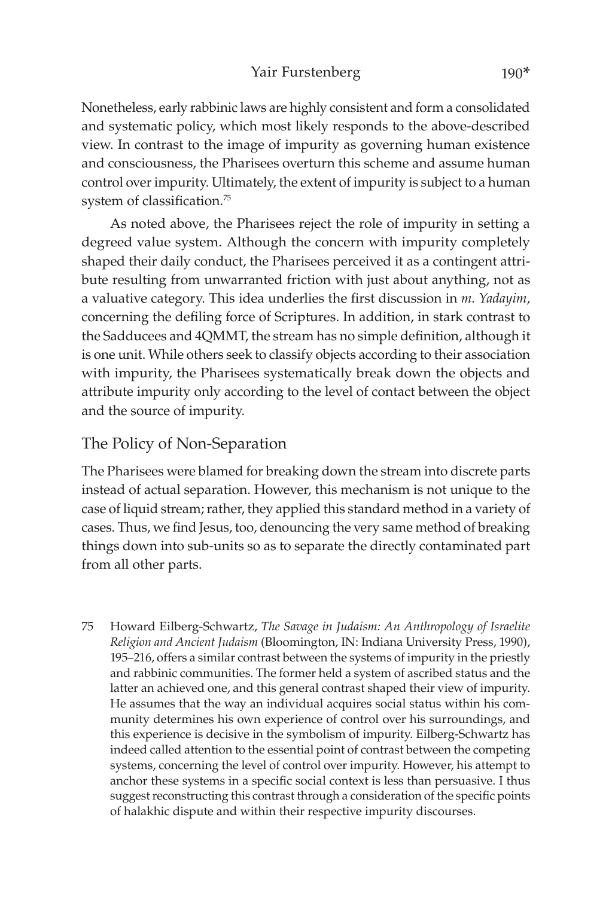#### Yair Furstenberg 190\*

Nonetheless, early rabbinic laws are highly consistent and form a consolidated and systematic policy, which most likely responds to the above-described view. In contrast to the image of impurity as governing human existence and consciousness, the Pharisees overturn this scheme and assume human control over impurity. Ultimately, the extent of impurity is subject to a human system of classification.<sup>75</sup>

As noted above, the Pharisees reject the role of impurity in setting a degreed value system. Although the concern with impurity completely shaped their daily conduct, the Pharisees perceived it as a contingent attribute resulting from unwarranted friction with just about anything, not as a valuative category. This idea underlies the first discussion in *m. Yadayim*, concerning the defiling force of Scriptures. In addition, in stark contrast to the Sadducees and 4QMMT, the stream has no simple definition, although it is one unit. While others seek to classify objects according to their association with impurity, the Pharisees systematically break down the objects and attribute impurity only according to the level of contact between the object and the source of impurity.

### The Policy of Non-Separation

The Pharisees were blamed for breaking down the stream into discrete parts instead of actual separation. However, this mechanism is not unique to the case of liquid stream; rather, they applied this standard method in a variety of cases. Thus, we find Jesus, too, denouncing the very same method of breaking things down into sub-units so as to separate the directly contaminated part from all other parts.

75 Howard Eilberg-Schwartz, *The Savage in Judaism: An Anthropology of Israelite Religion and Ancient Judaism* (Bloomington, IN: Indiana University Press, 1990), 195–216, offers a similar contrast between the systems of impurity in the priestly and rabbinic communities. The former held a system of ascribed status and the latter an achieved one, and this general contrast shaped their view of impurity. He assumes that the way an individual acquires social status within his community determines his own experience of control over his surroundings, and this experience is decisive in the symbolism of impurity. Eilberg-Schwartz has indeed called attention to the essential point of contrast between the competing systems, concerning the level of control over impurity. However, his attempt to anchor these systems in a specific social context is less than persuasive. I thus suggest reconstructing this contrast through a consideration of the specific points of halakhic dispute and within their respective impurity discourses.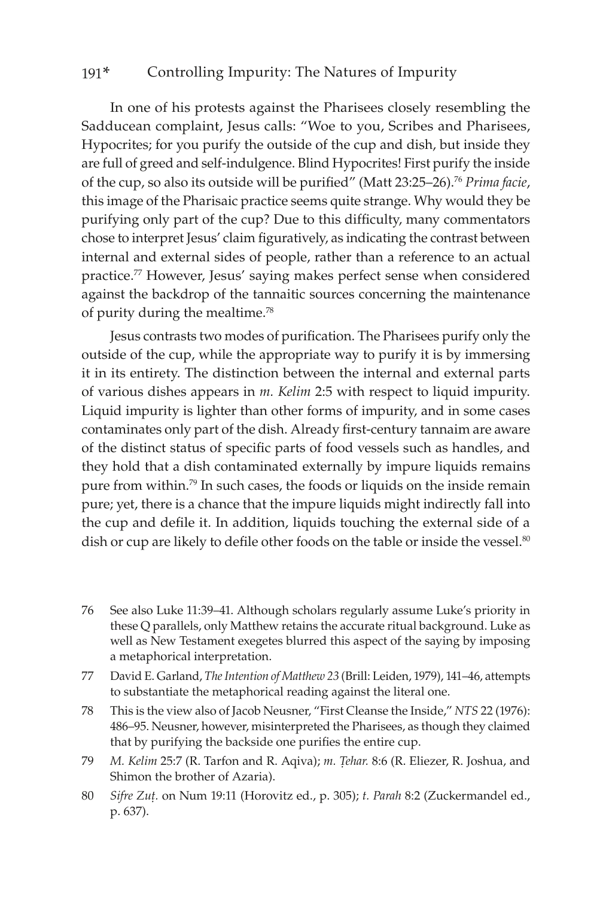In one of his protests against the Pharisees closely resembling the Sadducean complaint, Jesus calls: "Woe to you, Scribes and Pharisees, Hypocrites; for you purify the outside of the cup and dish, but inside they are full of greed and self-indulgence. Blind Hypocrites! First purify the inside of the cup, so also its outside will be purified" (Matt 23:25–26).<sup>76</sup> *Prima facie*, this image of the Pharisaic practice seems quite strange. Why would they be purifying only part of the cup? Due to this difficulty, many commentators chose to interpret Jesus' claim figuratively, as indicating the contrast between internal and external sides of people, rather than a reference to an actual practice.77 However, Jesus' saying makes perfect sense when considered against the backdrop of the tannaitic sources concerning the maintenance of purity during the mealtime.78

Jesus contrasts two modes of purification. The Pharisees purify only the outside of the cup, while the appropriate way to purify it is by immersing it in its entirety. The distinction between the internal and external parts of various dishes appears in *m. Kelim* 2:5 with respect to liquid impurity. Liquid impurity is lighter than other forms of impurity, and in some cases contaminates only part of the dish. Already first-century tannaim are aware of the distinct status of specific parts of food vessels such as handles, and they hold that a dish contaminated externally by impure liquids remains pure from within.<sup>79</sup> In such cases, the foods or liquids on the inside remain pure; yet, there is a chance that the impure liquids might indirectly fall into the cup and defile it. In addition, liquids touching the external side of a dish or cup are likely to defile other foods on the table or inside the vessel.<sup>80</sup>

- 76 See also Luke 11:39–41. Although scholars regularly assume Luke's priority in these Q parallels, only Matthew retains the accurate ritual background. Luke as well as New Testament exegetes blurred this aspect of the saying by imposing a metaphorical interpretation.
- 77 David E. Garland, *The Intention of Matthew 23* (Brill: Leiden, 1979), 141–46, attempts to substantiate the metaphorical reading against the literal one.
- 78 This is the view also of Jacob Neusner, "First Cleanse the Inside," *NTS* 22 (1976): 486–95. Neusner, however, misinterpreted the Pharisees, as though they claimed that by purifying the backside one purifies the entire cup.
- 79 *M. Kelim 25:7 (R. Tarfon and R. Aqiva); m. Tehar. 8:6 (R. Eliezer, R. Joshua, and* Shimon the brother of Azaria).
- 80 *Sifre Zuû.* on Num 19:11 (Horovitz ed., p. 305); *t. Parah* 8:2 (Zuckermandel ed., p. 637).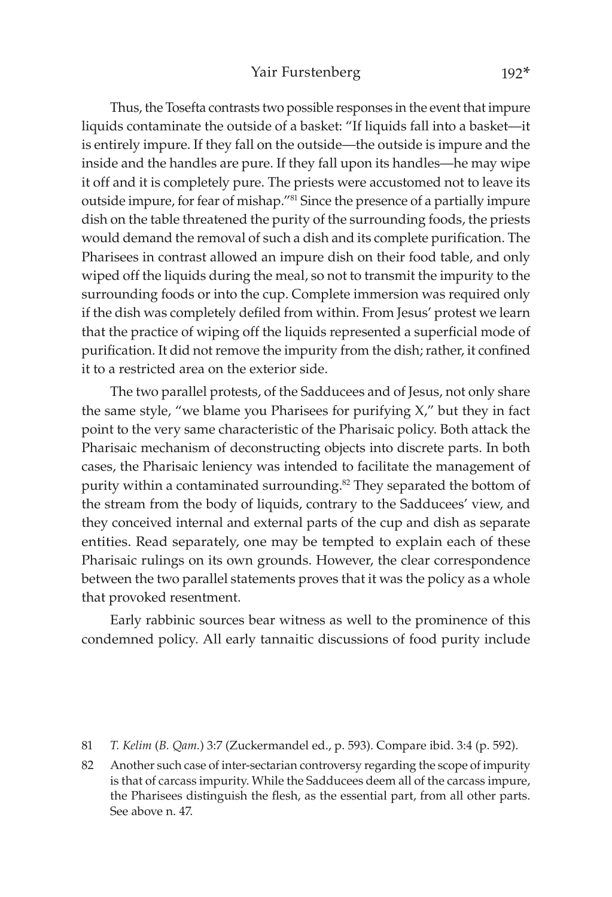Thus, the Tosefta contrasts two possible responses in the event that impure liquids contaminate the outside of a basket: "If liquids fall into a basket—it is entirely impure. If they fall on the outside—the outside is impure and the inside and the handles are pure. If they fall upon its handles—he may wipe it off and it is completely pure. The priests were accustomed not to leave its outside impure, for fear of mishap."81 Since the presence of a partially impure dish on the table threatened the purity of the surrounding foods, the priests would demand the removal of such a dish and its complete purification. The Pharisees in contrast allowed an impure dish on their food table, and only wiped off the liquids during the meal, so not to transmit the impurity to the surrounding foods or into the cup. Complete immersion was required only if the dish was completely defiled from within. From Jesus' protest we learn that the practice of wiping off the liquids represented a superficial mode of purification. It did not remove the impurity from the dish; rather, it confined it to a restricted area on the exterior side.

The two parallel protests, of the Sadducees and of Jesus, not only share the same style, "we blame you Pharisees for purifying X," but they in fact point to the very same characteristic of the Pharisaic policy. Both attack the Pharisaic mechanism of deconstructing objects into discrete parts. In both cases, the Pharisaic leniency was intended to facilitate the management of purity within a contaminated surrounding.<sup>82</sup> They separated the bottom of the stream from the body of liquids, contrary to the Sadducees' view, and they conceived internal and external parts of the cup and dish as separate entities. Read separately, one may be tempted to explain each of these Pharisaic rulings on its own grounds. However, the clear correspondence between the two parallel statements proves that it was the policy as a whole that provoked resentment.

Early rabbinic sources bear witness as well to the prominence of this condemned policy. All early tannaitic discussions of food purity include

82 Another such case of inter-sectarian controversy regarding the scope of impurity is that of carcass impurity. While the Sadducees deem all of the carcass impure, the Pharisees distinguish the flesh, as the essential part, from all other parts. See above n. 47.

<sup>81</sup> *T. Kelim* (*B. Qam.*) 3:7 (Zuckermandel ed., p. 593). Compare ibid. 3:4 (p. 592).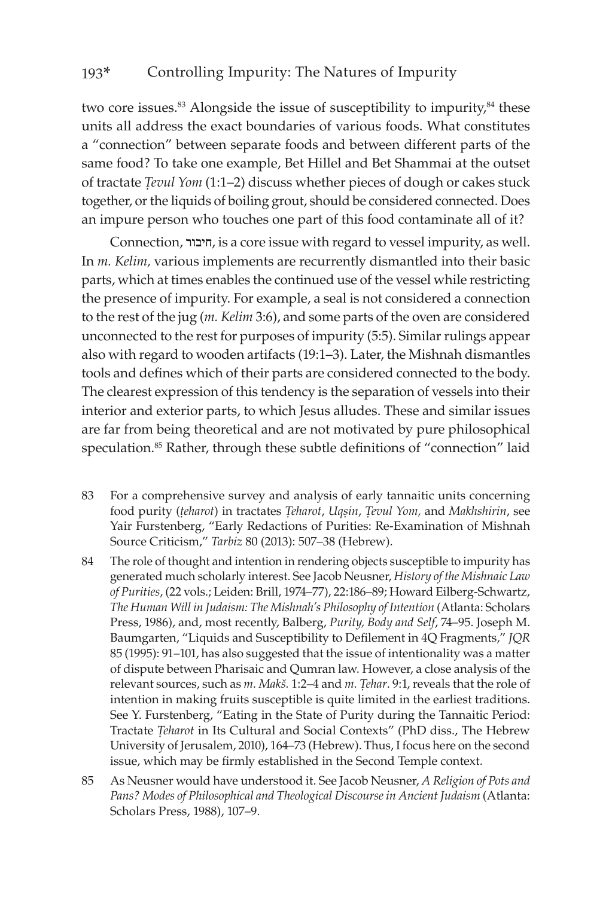two core issues.<sup>83</sup> Alongside the issue of susceptibility to impurity,<sup>84</sup> these units all address the exact boundaries of various foods. What constitutes a "connection" between separate foods and between different parts of the same food? To take one example, Bet Hillel and Bet Shammai at the outset of tractate *Tevul Yom* (1:1-2) discuss whether pieces of dough or cakes stuck together, or the liquids of boiling grout, should be considered connected. Does an impure person who touches one part of this food contaminate all of it?

Connection, חיבור, is a core issue with regard to vessel impurity, as well. In *m. Kelim,* various implements are recurrently dismantled into their basic parts, which at times enables the continued use of the vessel while restricting the presence of impurity. For example, a seal is not considered a connection to the rest of the jug (*m. Kelim* 3:6), and some parts of the oven are considered unconnected to the rest for purposes of impurity (5:5). Similar rulings appear also with regard to wooden artifacts (19:1–3). Later, the Mishnah dismantles tools and defines which of their parts are considered connected to the body. The clearest expression of this tendency is the separation of vessels into their interior and exterior parts, to which Jesus alludes. These and similar issues are far from being theoretical and are not motivated by pure philosophical speculation.<sup>85</sup> Rather, through these subtle definitions of "connection" laid

- 83 For a comprehensive survey and analysis of early tannaitic units concerning food purity (*teharot*) in tractates *Teharot*, *Uqsin*, *Tevul Yom*, and *Makhshirin*, see Yair Furstenberg, "Early Redactions of Purities: Re-Examination of Mishnah Source Criticism," *Tarbiz* 80 (2013): 507–38 (Hebrew).
- 84 The role of thought and intention in rendering objects susceptible to impurity has generated much scholarly interest. See Jacob Neusner, *History of the Mishnaic Law of Purities*, (22 vols.; Leiden: Brill, 1974–77), 22:186–89; Howard Eilberg-Schwartz, *The Human Will in Judaism: The Mishnah's Philosophy of Intention* (Atlanta: Scholars Press, 1986), and, most recently, Balberg, *Purity, Body and Self*, 74–95. Joseph M. Baumgarten, "Liquids and Susceptibility to Defilement in 4Q Fragments," *JQR* 85 (1995): 91–101, has also suggested that the issue of intentionality was a matter of dispute between Pharisaic and Qumran law. However, a close analysis of the relevant sources, such as *m. Makš.* 1:2–4 and *m. Tehar*. 9:1, reveals that the role of intention in making fruits susceptible is quite limited in the earliest traditions. See Y. Furstenberg, "Eating in the State of Purity during the Tannaitic Period: Tractate *Ûeharot* in Its Cultural and Social Contexts" (PhD diss., The Hebrew University of Jerusalem, 2010), 164–73 (Hebrew). Thus, I focus here on the second issue, which may be firmly established in the Second Temple context.
- 85 As Neusner would have understood it. See Jacob Neusner, *A Religion of Pots and Pans? Modes of Philosophical and Theological Discourse in Ancient Judaism* (Atlanta: Scholars Press, 1988), 107–9.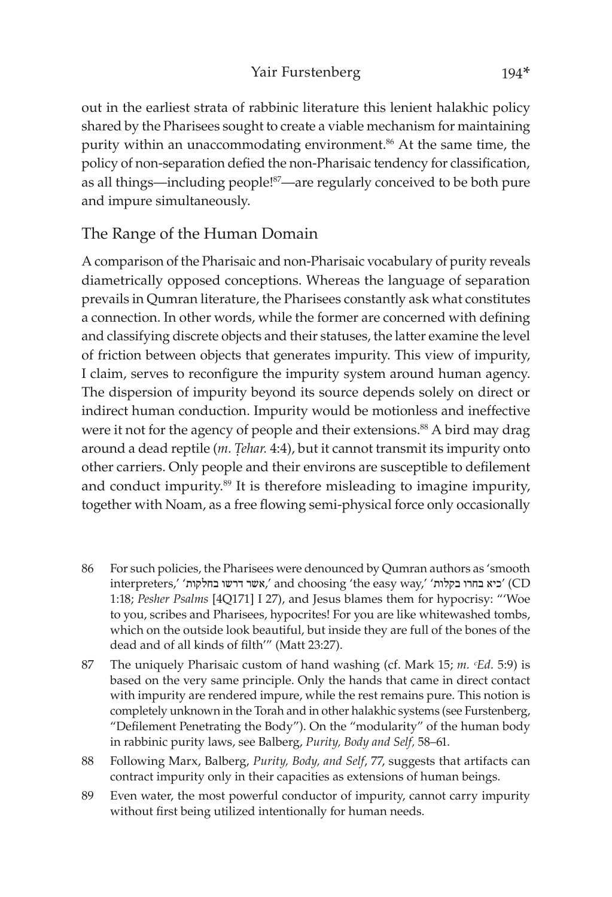out in the earliest strata of rabbinic literature this lenient halakhic policy shared by the Pharisees sought to create a viable mechanism for maintaining purity within an unaccommodating environment.<sup>86</sup> At the same time, the policy of non-separation defied the non-Pharisaic tendency for classification, as all things—including people!<sup>87</sup>—are regularly conceived to be both pure and impure simultaneously.

### The Range of the Human Domain

A comparison of the Pharisaic and non-Pharisaic vocabulary of purity reveals diametrically opposed conceptions. Whereas the language of separation prevails in Qumran literature, the Pharisees constantly ask what constitutes a connection. In other words, while the former are concerned with defining and classifying discrete objects and their statuses, the latter examine the level of friction between objects that generates impurity. This view of impurity, I claim, serves to reconfigure the impurity system around human agency. The dispersion of impurity beyond its source depends solely on direct or indirect human conduction. Impurity would be motionless and ineffective were it not for the agency of people and their extensions.<sup>88</sup> A bird may drag around a dead reptile (*m. Tehar.* 4:4), but it cannot transmit its impurity onto other carriers. Only people and their environs are susceptible to defilement and conduct impurity.<sup>89</sup> It is therefore misleading to imagine impurity, together with Noam, as a free flowing semi-physical force only occasionally

- 86 For such policies, the Pharisees were denounced by Qumran authors as 'smooth interpreters,' 'ביא בחרו בקלות' ',' and choosing 'the easy way,' 'כיא בחרו בקלות' 1:18; *Pesher Psalms* [4Q171] I 27), and Jesus blames them for hypocrisy: "'Woe to you, scribes and Pharisees, hypocrites! For you are like whitewashed tombs, which on the outside look beautiful, but inside they are full of the bones of the dead and of all kinds of filth'" (Matt 23:27).
- 87 The uniquely Pharisaic custom of hand washing (cf. Mark 15; *m. <sup><i>cEd.* 5:9)</sup> is based on the very same principle. Only the hands that came in direct contact with impurity are rendered impure, while the rest remains pure. This notion is completely unknown in the Torah and in other halakhic systems (see Furstenberg, "Defilement Penetrating the Body"). On the "modularity" of the human body in rabbinic purity laws, see Balberg, *Purity, Body and Self,* 58–61.
- 88 Following Marx, Balberg, *Purity, Body, and Self*, 77, suggests that artifacts can contract impurity only in their capacities as extensions of human beings.
- 89 Even water, the most powerful conductor of impurity, cannot carry impurity without first being utilized intentionally for human needs.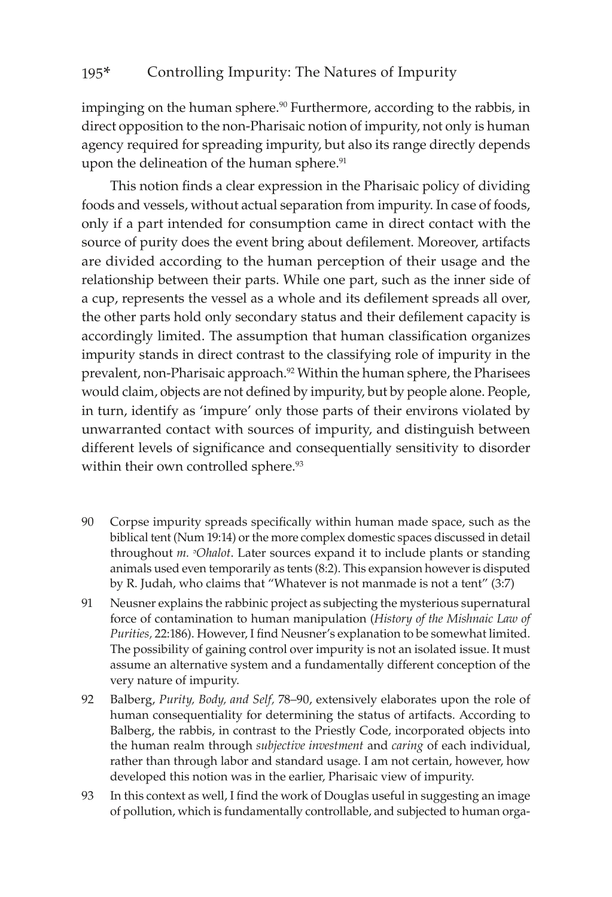impinging on the human sphere.<sup>90</sup> Furthermore, according to the rabbis, in direct opposition to the non-Pharisaic notion of impurity, not only is human agency required for spreading impurity, but also its range directly depends upon the delineation of the human sphere.<sup>91</sup>

This notion finds a clear expression in the Pharisaic policy of dividing foods and vessels, without actual separation from impurity. In case of foods, only if a part intended for consumption came in direct contact with the source of purity does the event bring about defilement. Moreover, artifacts are divided according to the human perception of their usage and the relationship between their parts. While one part, such as the inner side of a cup, represents the vessel as a whole and its defilement spreads all over, the other parts hold only secondary status and their defilement capacity is accordingly limited. The assumption that human classification organizes impurity stands in direct contrast to the classifying role of impurity in the prevalent, non-Pharisaic approach.92 Within the human sphere, the Pharisees would claim, objects are not defined by impurity, but by people alone. People, in turn, identify as 'impure' only those parts of their environs violated by unwarranted contact with sources of impurity, and distinguish between different levels of significance and consequentially sensitivity to disorder within their own controlled sphere.<sup>93</sup>

- 90 Corpse impurity spreads specifically within human made space, such as the biblical tent (Num 19:14) or the more complex domestic spaces discussed in detail throughout *m.* <sup>*o*</sup>*Ohalot*. Later sources expand it to include plants or standing animals used even temporarily as tents (8:2). This expansion however is disputed by R. Judah, who claims that "Whatever is not manmade is not a tent" (3:7)
- 91 Neusner explains the rabbinic project as subjecting the mysterious supernatural force of contamination to human manipulation (*History of the Mishnaic Law of Purities,* 22:186). However, I find Neusner's explanation to be somewhat limited. The possibility of gaining control over impurity is not an isolated issue. It must assume an alternative system and a fundamentally different conception of the very nature of impurity.
- 92 Balberg, *Purity, Body, and Self,* 78–90, extensively elaborates upon the role of human consequentiality for determining the status of artifacts. According to Balberg, the rabbis, in contrast to the Priestly Code, incorporated objects into the human realm through *subjective investment* and *caring* of each individual, rather than through labor and standard usage. I am not certain, however, how developed this notion was in the earlier, Pharisaic view of impurity.
- 93 In this context as well, I find the work of Douglas useful in suggesting an image of pollution, which is fundamentally controllable, and subjected to human orga-